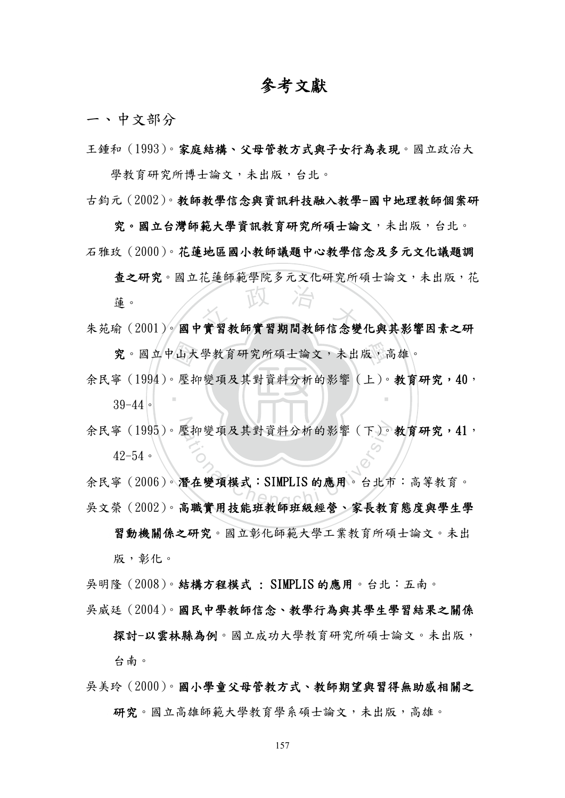# 參考文獻

一、中文部分

王鍾和(1993)。家庭結構、父母管教方式與子女行為表現。國立政治大

學教育研究所博士論文,未出版,台北。 古鈞元(2002)。教師教學信念與資訊科技融入教學-國中地理教師個案研

究。國立台灣師範大學資訊教育研究所碩士論文,未出版,今北。 石雅玫(2000)。花蓮地區國小教師議題中心教學信念及多元文化議題調

蓮。<br>朱苑瑜(2001)。國中實習教師實習期間教師信念變化與其影響因素之研 查之研究。國立花蓮師範學院多元文化研究所碩士論文,未出版,花 蓮。

究。國立中山大學教育研究所碩士論文,未出版,高雄。<br>寧 (1994)。壓抑變項及其對資料分析的影響 (上)。教育研 ‧ 余民寧(1994)。壓抑變項及其對資料分析的影響(上)。教育研究,40, 39-44。

42-54。

余民寧(1995)。壓抑變項及其對資料分析的影響(下)。教育研究,41,<br>42-54。<br>余民寧(2006)。潛在變項模式:SIMPLIS的應用。台北市:高等教育。 余民寧(2006)。潛在變項模式:SIMPLIS 的應用。台北市:高等教育。 吳文榮(2002)。高職實用技能班教師班級經營、家長教育態度與學生學

習動機關係之研究。國立彰化師範大學工業教育所碩士論文。未出 版,彰化。

吳明隆(2008)。結構方程模式 : SIMPLIS 的應用。台北:五南。

吳威廷(2004)。國民中學教師信念、教學行為與其學生學習結果之關係

探討-以雲林縣為例。國立成功大學教育研究所碩士論文。未出版, 台南。

吳美玲(2000)。國小學童父母管教方式、教師期望與習得無助感相關之

研究。國立高雄師範大學教育學系碩士論文,未出版,高雄。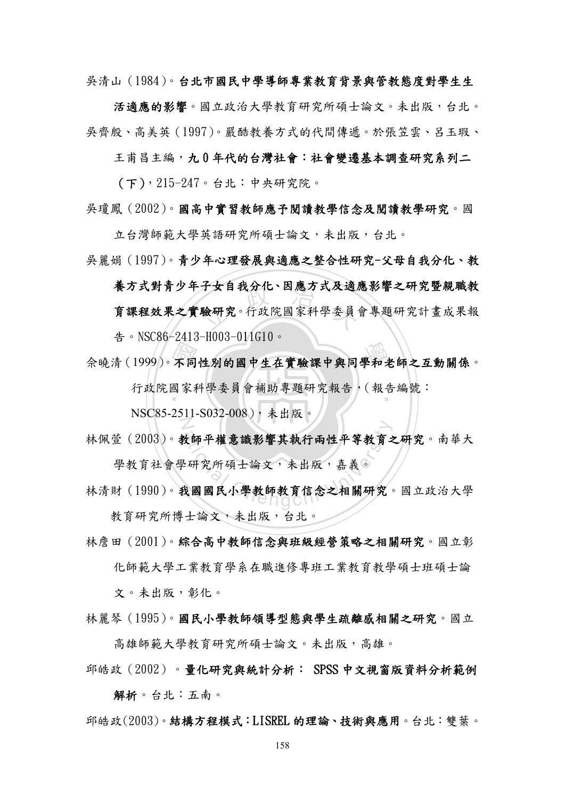吳清山(1984)。台北市國民中學導師專業教育背景與管教態度對學生生

活適應的影響。國立政治大學教育研究所碩士論文。未出版,台北。 吳齊殷、高美英(1997)。嚴酷教養方式的代間傳遞。於張笠雲、呂玉瑕、

王甫昌主編,九 0 年代的台灣社會:社會變遷基本調查研究系列二

(下),215-247。台北:中央研究院。

吳瓊鳳(2002)。國高中實習教師應予閱讀教學信念及閱讀教學研究。國

立台灣師範大學英語研究所碩士論文,未出版,台北。

吳麗娟(1997)。青少年心理發展與適應之整合性研究-父母自我分化、教

十女目我分化、凶應力式及週/<br>驗研究。行政院國家科學委員 養方式對青少年子女自我分化、因應方式及適應影響之研究暨親職教 育課程效果之實驗研究。行政院國家科學委員會專題研究計畫成果報 告。NSC86-2413-H003-011G10。

会曉清(1999)。不同性別的國中生在實驗課中與同學和老師之互動關係。<br>行政院國家科學委員會補助專題研究報告,(報告編號:<br>NGGGC 2611 9022 000), ト小に

‧ 行政院國家科學委員會補助專題研究報告,(報告編號:

Z NSC85-2511-S032-008),未出版。

- <sup>a</sup>t<sup>i</sup>ona<sup>l</sup> <sup>C</sup>hengch<sup>i</sup> <sup>U</sup>nivers<sup>i</sup>t<sup>y</sup> 林佩萱(2003)。教師平權意識影響其執行兩性平等教育之研究。南華大 學教育社會學研究所碩士論文,未出版,嘉義。
- 林清財(1990)。我國國民小學教師教育信念之相關研究。國立政治大學 教育研究所博士論文,未出版,台北。
- 林詹田(2001)。綜合高中教師信念與班級經營策略之相關研究。國立彰 化師範大學工業教育學系在職進修專班工業教育教學碩士班碩士論

文。未出版,彰化。

林麗琴(1995)。國民小學教師領導型態與學生疏離感相關之研究。國立 高雄師範大學教育研究所碩士論文。未出版,高雄。

邱皓政(2002)。量化研究與統計分析: SPSS 中文視窗版資料分析範例

解析。台北:五南。

邱皓政(2003)。結構方程模式:LISREL 的理論、技術與應用。台北:雙葉。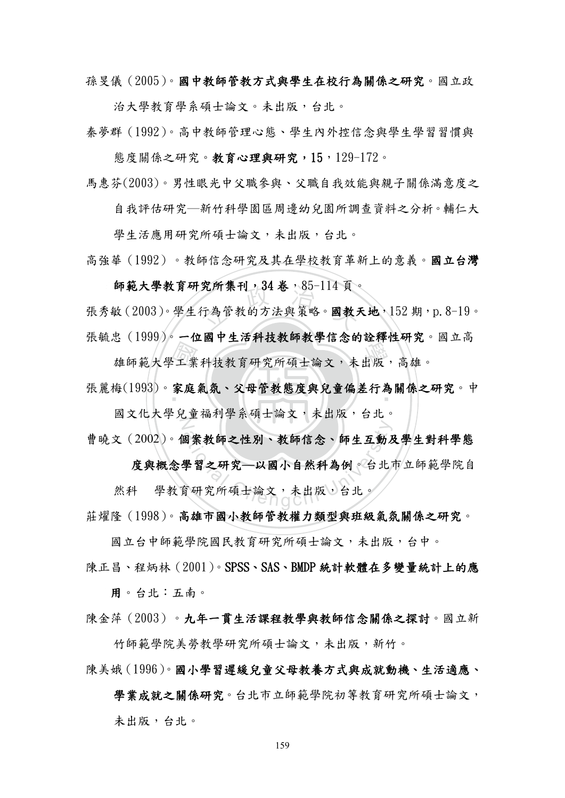孫旻儀(2005)。國中教師管教方式與學生在校行為關係之研究。國立政

治大學教育學系碩士論文。未出版,台北。

秦夢群(1992)。高中教師管理心態、學生內外控信念與學生學習習慣與

熊度關係之研究。教育心理與研究,15,129-172。

馬惠芬(2003)。男性眼光中父職參與、父職自我效能與親子關係滿意度之

自我評估研究─新竹科學園區周邊幼兒園所調查資料之分析。輔仁大

學生活應用研究所碩士論文,未出版,台北。

高強華(1992)。教師信念研究及其在學校教育革新上的意義。國立台灣

師範大學教育研究所集刊,34 卷,85-114 頁。

究所集刊,34 香,85-114 貝。<br>行為管教的方法與策略。**國教** 張秀敏(2003)。學生行為管教的方法與策略。國教天地,152期,p.8-19。 張毓忠(1999)。一位國中生活科技教師教學信念的詮釋性研究。國立高

全工 家庭 3、1999年 - 1111、工作有数数千数年高感动进行仁有先

張麗梅(1993)。家庭氣氛、父母管教態度與兒童偏差行為關係之研究。中 N 國文化大學兒童福利學系碩士論文,未出版,台北。

曹曉文(2002)。個案教師之性別、教師信念、師生互動及學生對科學態

a案教師之性別、教師信念、師生互動及<br>學習之研究—以國小自然科為例。台北<br>育研究所碩士論文,未出版,台北。 度與概念學習之研究**—**以國小自然科為例。台北市立師範學院自

然科 學教育研究所碩士論文,未出版,台北。

莊燿隆(1998)。高雄市國小教師管教權力類型與班級氣氛關係之研究。

國立台中師範學院國民教育研究所碩士論文,未出版,台中。

陳正昌、程炳林(2001)。SPSS、SAS、BMDP 統計軟體在多變量統計上的應 用。台北:五南。

陳金萍(2003)。九年一貫生活課程教學與教師信念關係之探討。國立新

竹師範學院美勞教學研究所碩士論文,未出版,新竹。 陳美娥(1996)。國小學習遲緩兒童父母教養方式與成就動機、生活適應、

學業成就之關係研究。台北市立師範學院初等教育研究所碩士論文, 未出版,台北。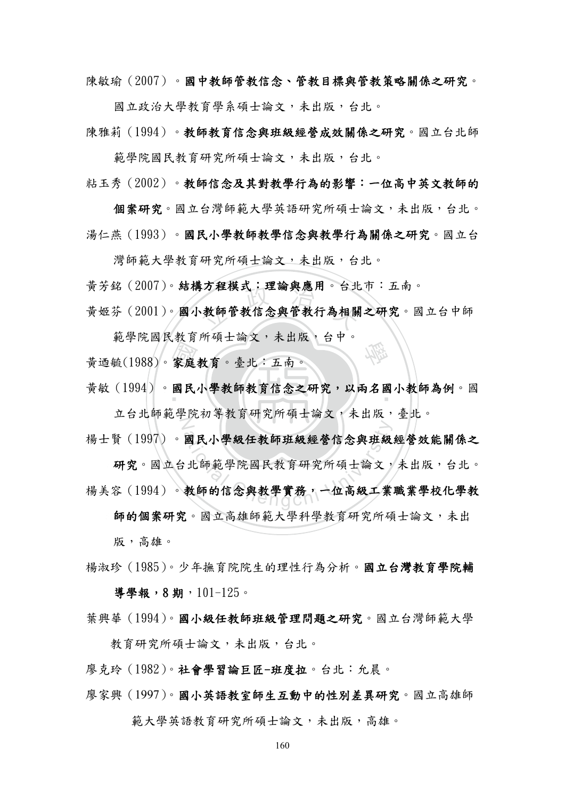陳敏瑜(2007)。國中教師管教信念、管教目標與管教策略關係之研究。

國立政治大學教育學系碩士論文,未出版,台北。

陳雅莉(1994)。教師教育信念與班級經營成效關係之研究。國立台北師

範學院國民教育研究所碩士論文,未出版,台北。

粘玉秀(2002)。教師信念及其對教學行為的影響:一位高中英文教師的

個案研究。國立台灣師範大學英語研究所碩士論文,未出版,台北。 湯仁燕(1993)。國民小學教師教學信念與教學行為關係之研究。國立台

灣師範大學教育研究所碩士論文,未出版,台北。

黃芳銘(2007)。結構方程模式:理論與應用。台北市:五南。

はカ桂榠式・埋論與應用。台北<br>・教師管教信念與管教行為相關<br>-黃姬芬(2001)。國小教師管教信念與管教行為相關之研究。國立台中師

範學院國民教育所碩士論文,未出版,台中。

黃迺毓(1988)。家庭教育。臺北:五南。

家庭 民 黃敏(1994)。國民小學教師教育信念之研究,以兩名國小教師為例。國

學

Z 立台北師範學院初等教育研究所碩士論文,未出版,臺北。

楊士賢(1997)。國民小學級任教師班級經營信念與班級經營效能關係之

国民小學級任教師班級經營信念與班級<br>,北師範學院國民教育研究所碩士論文,<br>教師的信念與教學實務,一位高級工業 研究。國立台北師範學院國民教育研究所碩士論文,未出版,台北。 楊美容(1994)。教師的信念與教學實務,一位高級工業職業學校化學教

師的個案研究。國立高雄師範大學科學教育研究所碩士論文,未出

版,高雄。

楊淑珍(1985)。少年撫育院院生的理性行為分析。國立台灣教育學院輔 導學報,8期,101-125。

葉興華(1994)。國小級任教師班級管理問題之研究。國立台灣師範大學

教育研究所碩士論文,未出版,台北。

廖克玲(1982)。社會學習論巨匠-班度拉。台北:允晨。

廖家興(1997)。國小英語教室師生互動中的性別差異研究。國立高雄師

範大學英語教育研究所碩士論文,未出版,高雄。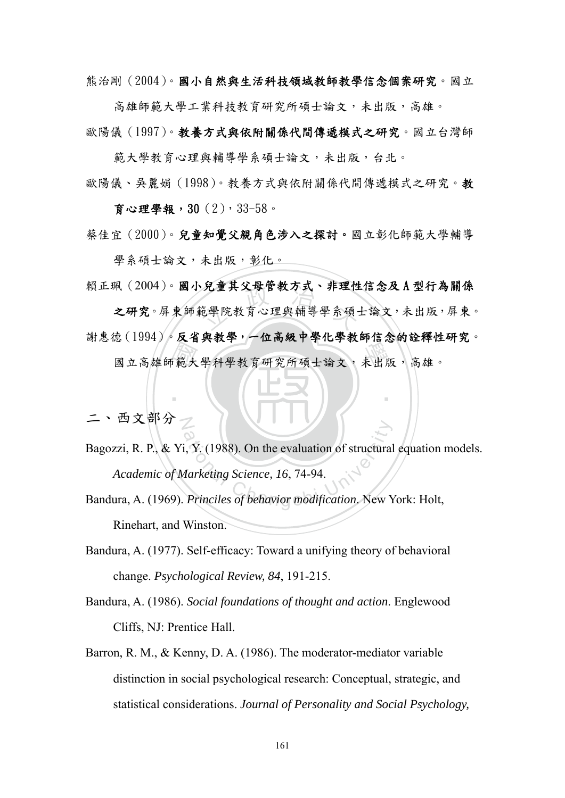熊治剛(2004)。國小自然與生活科技領域教師教學信念個案研究。國立

高雄師範大學工業科技教育研究所碩士論文,未出版,高雄。 歐陽儀(1997)。教養方式與依附關係代間傳遞模式之研究。國立台灣師

範大學教育心理與輔導學系碩士論文,未出版,台北。

歐陽儀、吳麗娟(1998)。教養方式與依附關係代間傳遞模式之研究。教

育心理學報,30(2),33-58。

蔡佳宜(2000)。兒童知覺父親角色涉入之探討。國立彰化師範大學輔導

學系碩士論文,未出版,彰化。

賴正珮(2004)。國小兒童其父母管教方式、非理性信念及 A 型行為關係

國立高雄師範大學科學教育研究所碩士論文,未出版,高雄。 ·兄重具义母官教力式、非埋性<br>範學院教育心理與輔導學系碩: 之研究。屏東師範學院教育心理與輔導學系碩士論文,未出版,屏東。 謝惠德(1994)。反省與教學,一位高級中學化學教師信念的詮釋性研究。

二、西文部分之

i, Y. (1988). On the evaluation of structural<br>
Aarketing Science, 16, 74-94.<br>
Princiles of behavior modification. New Y Bagozzi, R. P., & Yi, Y. (1988). On the evaluation of structural equation models. *Academic of Marketing Science, 16*, 74-94.

‧

- Bandura, A. (1969). *Princiles of behavior modification*. New York: Holt, Rinehart, and Winston.
- Bandura, A. (1977). Self-efficacy: Toward a unifying theory of behavioral change. *Psychological Review, 84*, 191-215.
- Bandura, A. (1986). *Social foundations of thought and action*. Englewood Cliffs, NJ: Prentice Hall.
- Barron, R. M., & Kenny, D. A. (1986). The moderator-mediator variable distinction in social psychological research: Conceptual, strategic, and statistical considerations. *Journal of Personality and Social Psychology,*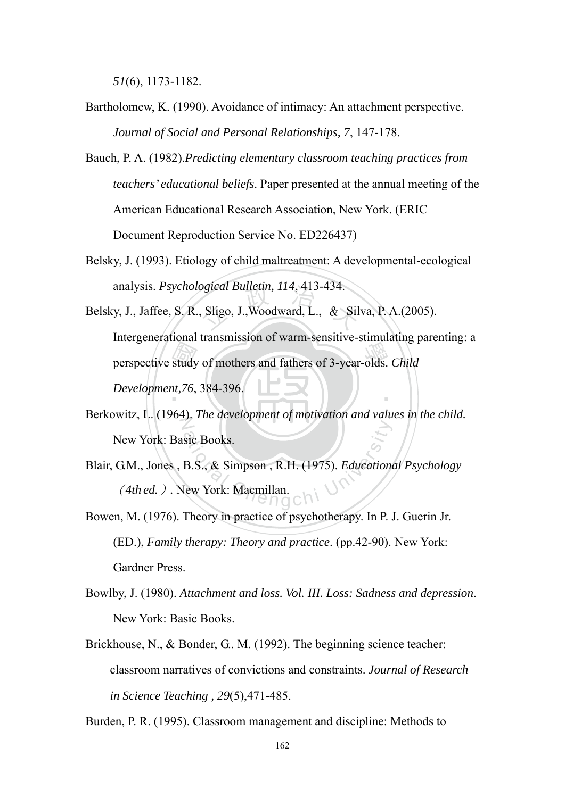*51*(6), 1173-1182.

- Bartholomew, K. (1990). Avoidance of intimacy: An attachment perspective. *Journal of Social and Personal Relationships, 7*, 147-178.
- Bauch, P. A. (1982).*Predicting elementary classroom teaching practices from teachers' educational beliefs*. Paper presented at the annual meeting of the American Educational Research Association, New York. (ERIC Document Reproduction Service No. ED226437)
- Belsky, J. (1993). Etiology of child maltreatment: A developmental-ecological analysis. *Psychological Bulletin, 114*, 413-434.
- perspective study of mothers and fathers of 3-year-olds. *Child*<br>Development, 76, 384-396. *ogical Bulletin, 114, 413-434.*<br>, Sligo, J., Woodward, L., & Sil ‧ Belsky, J., Jaffee, S. R., Sligo, J.,Woodward, L., & Silva, P. A.(2005). Intergenerational transmission of warm-sensitive-stimulating parenting: a *Development,76*, 384-396.
- $\mathbb Z$ Berkowitz, L. (1964). *The development of motivation and values in the child.* New York: Basic Books.
- sic Books.<br>B.S., & Simpson, R.H. (1975). Education Blair, G.M., Jones , B.S., & Simpson , R.H. (1975). *Educational Psychology* (*4th ed.*)*.* New York: Macmillan.
- Bowen, M. (1976). Theory in practice of psychotherapy. In P. J. Guerin Jr. (ED.), *Family therapy: Theory and practice*. (pp.42-90). New York: Gardner Press.
- Bowlby, J. (1980). *Attachment and loss. Vol. III. Loss: Sadness and depression*. New York: Basic Books.
- Brickhouse, N., & Bonder, G.. M. (1992). The beginning science teacher: classroom narratives of convictions and constraints. *Journal of Research in Science Teaching , 29*(5),471-485.

Burden, P. R. (1995). Classroom management and discipline: Methods to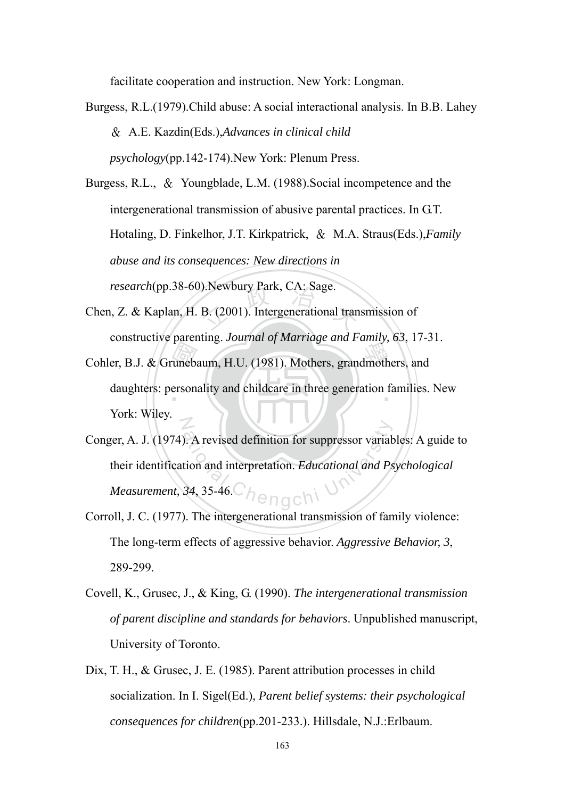facilitate cooperation and instruction. New York: Longman.

Burgess, R.L.(1979).Child abuse: A social interactional analysis. In B.B. Lahey & A.E. Kazdin(Eds.),*Advances in clinical child psychology*(pp.142-174).New York: Plenum Press.

Burgess, R.L., & Youngblade, L.M. (1988).Social incompetence and the intergenerational transmission of abusive parental practices. In G.T. Hotaling, D. Finkelhor, J.T. Kirkpatrick, & M.A. Straus(Eds.),*Family abuse and its consequences: New directions in research*(pp.38-60).Newbury Park, CA: Sage.

- EXERCISE PARK, CA: Sage.<br>B. (2001). Intergenerational tran Chen, Z. & Kaplan, H. B. (2001). Intergenerational transmission of constructive parenting. *Journal of Marriage and Family, 63*, 17-31.
- Cohler, B.J. & Grunebaum, H.U. (1981). Mothers, grandmothers, and daughters: personality and childcare in three generation families. daughters: personality and childcare in three generation families. New N York: Wiley.
- Expressed definition for suppressor variation<br>tion and interpretation. Educational and Ps<br>34, 35-46. Conger, A. J. (1974). A revised definition for suppressor variables: A guide to their identification and interpretation. *Educational and Psychological Measurement, 34*, 35-46.
- Corroll, J. C. (1977). The intergenerational transmission of family violence: The long-term effects of aggressive behavior. *Aggressive Behavior, 3*, 289-299.
- Covell, K., Grusec, J., & King, G. (1990). *The intergenerational transmission of parent discipline and standards for behaviors*. Unpublished manuscript, University of Toronto.
- Dix, T. H., & Grusec, J. E. (1985). Parent attribution processes in child socialization. In I. Sigel(Ed.), *Parent belief systems: their psychological consequences for children*(pp.201-233.). Hillsdale, N.J.:Erlbaum.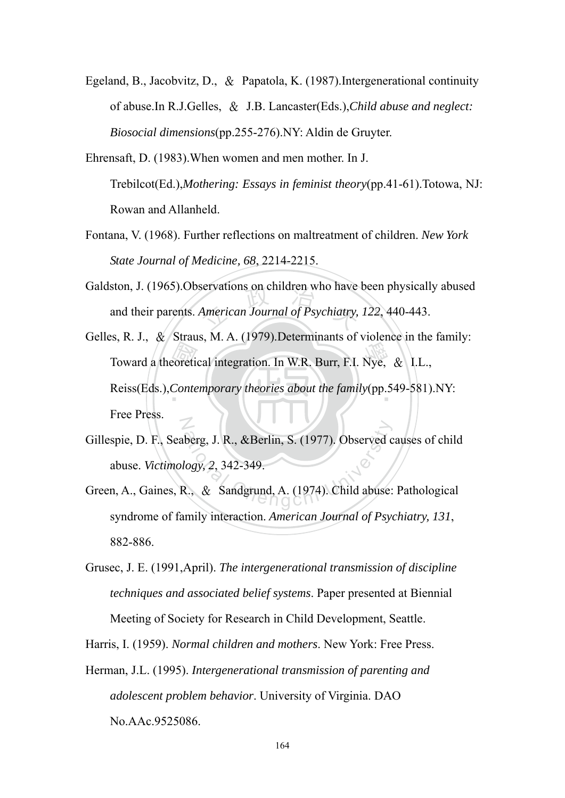- Egeland, B., Jacobvitz, D., & Papatola, K. (1987).Intergenerational continuity of abuse.In R.J.Gelles, & J.B. Lancaster(Eds.),*Child abuse and neglect: Biosocial dimensions*(pp.255-276).NY: Aldin de Gruyter.
- Ehrensaft, D. (1983).When women and men mother. In J. Trebilcot(Ed.),*Mothering: Essays in feminist theory*(pp.41-61).Totowa, NJ: Rowan and Allanheld.
- Fontana, V. (1968). Further reflections on maltreatment of children. *New York State Journal of Medicine, 68*, 2214-2215.
- servations on children who have<br>American Journal of Psychiatry, Galdston, J. (1965).Observations on children who have been physically abused and their parents. *American Journal of Psychiatry, 122*, 440-443.
- Toward a theoretical integration. In W.R. Burr, F.I. Nye, & I.L.,<br>Reiss(Eds.), Contemporary theories about the family(pp.549-581). ‧ Reiss(Eds.),*Contemporary theories about the family*(pp.549-581).NY: N Gelles, R. J., & Straus, M. A. (1979). Determinants of violence in the family: Free Press.
- berg, J. R., &Berlin, S. (1977). Observed c<br>logy, 2, 342-349.<br>R., & Sandgrund, A. (1974). Child abuse: Gillespie, D. F., Seaberg, J. R., &Berlin, S. (1977). Observed causes of child abuse. *Victimology, 2*, 342-349.
- Green, A., Gaines, R., & Sandgrund, A. (1974). Child abuse: Pathological syndrome of family interaction. *American Journal of Psychiatry, 131*, 882-886.
- Grusec, J. E. (1991,April). *The intergenerational transmission of discipline techniques and associated belief systems*. Paper presented at Biennial Meeting of Society for Research in Child Development, Seattle.
- Harris, I. (1959). *Normal children and mothers*. New York: Free Press.
- Herman, J.L. (1995). *Intergenerational transmission of parenting and adolescent problem behavior*. University of Virginia. DAO No.AAc.9525086.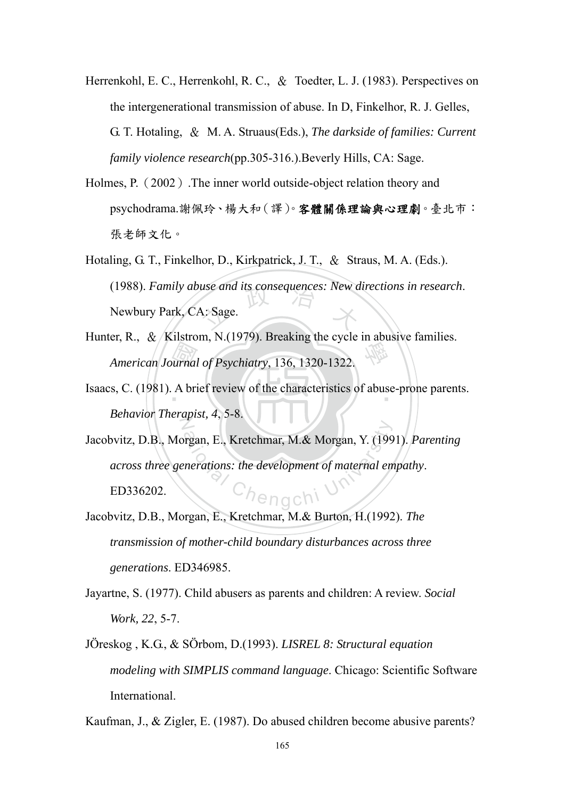- Herrenkohl, E. C., Herrenkohl, R. C., & Toedter, L. J. (1983). Perspectives on the intergenerational transmission of abuse. In D, Finkelhor, R. J. Gelles, G. T. Hotaling, & M. A. Struaus(Eds.), *The darkside of families: Current family violence research*(pp.305-316.).Beverly Hills, CA: Sage.
- Holmes, P.(2002).The inner world outside-object relation theory and psychodrama.謝佩玲、楊大和(譯)。客體關係理論與心理劇。臺北市: 張老師文化。
- (1988). *Family abuse and its consequences: New directions in research.*<br>Newbury Park, CA: Sage. Hotaling, G. T., Finkelhor, D., Kirkpatrick, J. T., & Straus, M. A. (Eds.). Newbury Park, CA: Sage.
- urnal<br>A bri 學 Hunter, R.,  $\&$  /Kilstrom, N.(1979). Breaking the cycle in abusive families. *American Journal of Psychiatry*, 136, 1320-1322.
- Isaacs, C. (1981). A brief review of the characteristics of abuse-prone parents.  $\frac{dp}{dt}$ *Behavior Therapist, 4*, 5-8.
- Frequency E., Kretchmar, M.& Morgan, Y. (199<br>
Parations: the development of maternal entry Jacobvitz, D.B., Morgan, E., Kretchmar, M.& Morgan, Y. (1991). *Parenting across three generations: the development of maternal empathy*. ED336202.
- Jacobvitz, D.B., Morgan, E., Kretchmar, M.& Burton, H.(1992). *The transmission of mother-child boundary disturbances across three generations*. ED346985.
- Jayartne, S. (1977). Child abusers as parents and children: A review. *Social Work, 22*, 5-7.
- JÖreskog , K.G., & SÖrbom, D.(1993). *LISREL 8: Structural equation modeling with SIMPLIS command language*. Chicago: Scientific Software International.

Kaufman, J., & Zigler, E. (1987). Do abused children become abusive parents?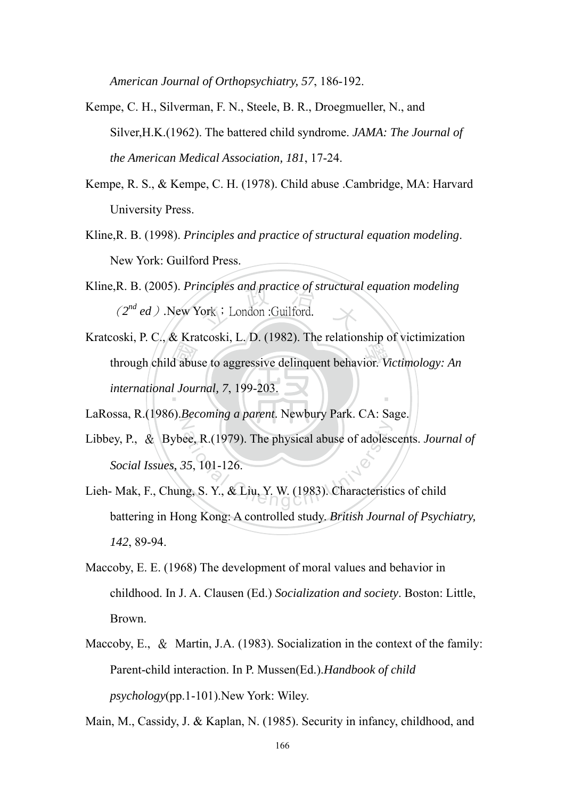*American Journal of Orthopsychiatry, 57*, 186-192.

- Kempe, C. H., Silverman, F. N., Steele, B. R., Droegmueller, N., and Silver,H.K.(1962). The battered child syndrome. *JAMA: The Journal of the American Medical Association, 181*, 17-24.
- Kempe, R. S., & Kempe, C. H. (1978). Child abuse .Cambridge, MA: Harvard University Press.
- Kline,R. B. (1998). *Principles and practice of structural equation modeling*. New York: Guilford Press.
- nciples and practice of structura<br>'ork : London :Guilford. Kline,R. B. (2005). *Principles and practice of structural equation modeling* (2<sup>nd</sup> ed)</sub>.New York; London :Guilford.
- d abu boshi, r. e., a Khatebshi, E. B. (1982). The relationship of Victimization<br>through child abuse to aggressive delinquent behavior. *Victimology: An* ‧ Kratcoski, P. C., & Kratcoski, L. D. (1982). The relationship of victimization *international Journal, 7*, 199-203.
- $\overline{Z}$ LaRossa, R.(1986).*Becoming a parent*. Newbury Park. CA: Sage.
- ee, R.(1979). The physical abuse of adolese<br>35, 101-126.<br>1g, S. Y., & Liu, Y. W. (1983). Characteristi Libbey, P., & Bybee, R.(1979). The physical abuse of adolescents. *Journal of Social Issues, 35*, 101-126.
- Lieh- Mak, F., Chung, S. Y., & Liu, Y. W. (1983). Characteristics of child battering in Hong Kong: A controlled study. *British Journal of Psychiatry, 142*, 89-94.
- Maccoby, E. E. (1968) The development of moral values and behavior in childhood. In J. A. Clausen (Ed.) *Socialization and society*. Boston: Little, Brown.
- Maccoby, E., & Martin, J.A. (1983). Socialization in the context of the family: Parent-child interaction. In P. Mussen(Ed.).*Handbook of child psychology*(pp.1-101).New York: Wiley.

Main, M., Cassidy, J. & Kaplan, N. (1985). Security in infancy, childhood, and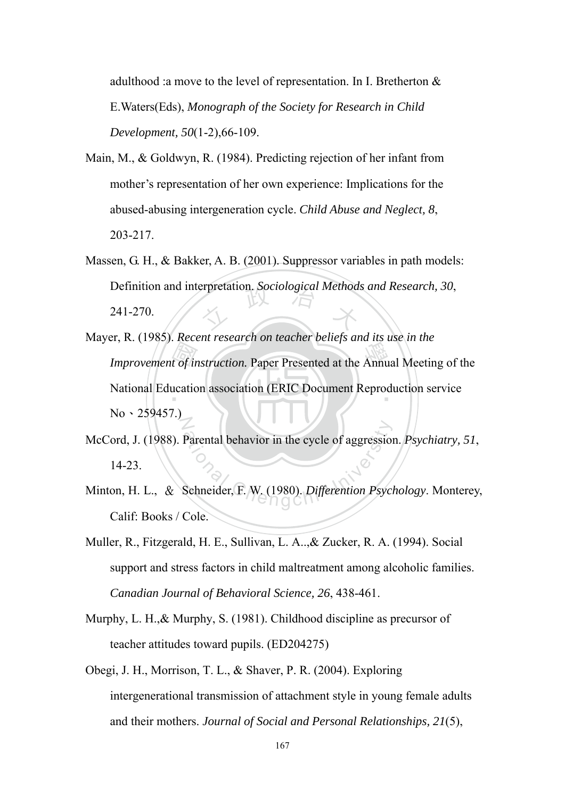adulthood :a move to the level of representation. In I. Bretherton & E.Waters(Eds), *Monograph of the Society for Research in Child Development, 50*(1-2),66-109.

- Main, M., & Goldwyn, R. (1984). Predicting rejection of her infant from mother's representation of her own experience: Implications for the abused-abusing intergeneration cycle. *Child Abuse and Neglect, 8*, 203-217.
- Definition and interpretation. *Sociological Methods and Research*, 30, 241-270. Massen, G. H., & Bakker, A. B. (2001). Suppressor variables in path models: 241-270.
- Improvement of instruction. Paper Presented at the Annual Meeting of the National Education association (ERIC Document Reproduction service National Education association (ERIC Document Reproduction service N Mayer, R. (1985). *Recent research on teacher beliefs and its use in the*   $No \cdot 259457.$
- Parental behavior in the cycle of aggression<br>Schneider, F. W. (1980). Differention Psyci McCord, J. (1988). Parental behavior in the cycle of aggression. *Psychiatry, 51*, 14-23.
- Minton, H. L., & Schneider, F. W. (1980). *Differention Psychology*. Monterey, Calif: Books / Cole.
- Muller, R., Fitzgerald, H. E., Sullivan, L. A..,& Zucker, R. A. (1994). Social support and stress factors in child maltreatment among alcoholic families. *Canadian Journal of Behavioral Science, 26*, 438-461.
- Murphy, L. H.,& Murphy, S. (1981). Childhood discipline as precursor of teacher attitudes toward pupils. (ED204275)
- Obegi, J. H., Morrison, T. L., & Shaver, P. R. (2004). Exploring intergenerational transmission of attachment style in young female adults and their mothers. *Journal of Social and Personal Relationships, 21*(5),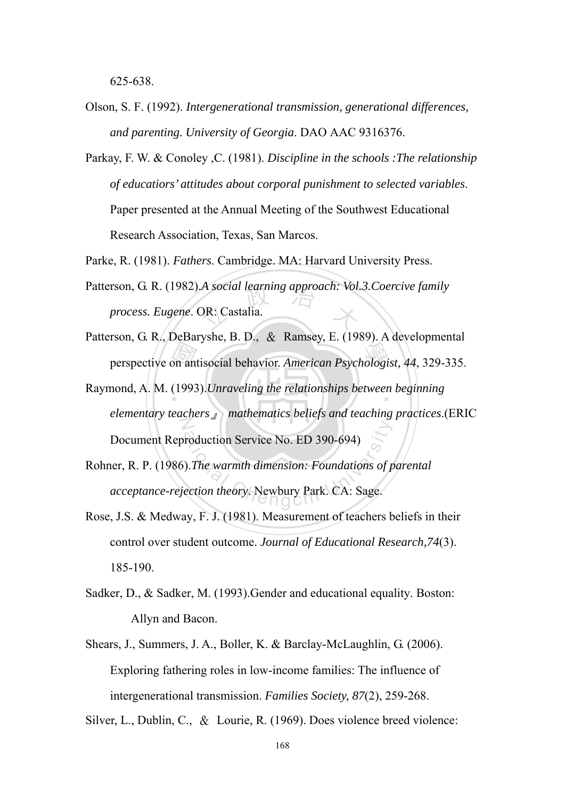625-638.

- Olson, S. F. (1992). *Intergenerational transmission, generational differences, and parenting. University of Georgia*. DAO AAC 9316376.
- Parkay, F. W. & Conoley ,C. (1981). *Discipline in the schools :The relationship of educatiors' attitudes about corporal punishment to selected variables*. Paper presented at the Annual Meeting of the Southwest Educational Research Association, Texas, San Marcos.
- Parke, R. (1981). *Fathers*. Cambridge. MA: Harvard University Press.
- Patterson, G. R. (1982).*A social learning approach: Vol.3. Coercive family process. Eugene.* OR: Castalia. *process. Eugene*. OR: Castalia.
- perspective on antisocial behavior. *American Psychologist*, 44, 329-335.<br>nond, A. M. (1993). *Unraveling the relationships between beginning* Patterson, G. R., DeBaryshe, B. D., & Ramsey, E. (1989). A developmental
- Raymond, A. M. (1993). *Unraveling the relationships between beginning*  $\overline{Z}$ *elementary teachers*』 *mathematics beliefs and teaching practices*.(ERIC Document Reproduction Service No. ED 390-694)
- Freduction Service No. ED 390-694)<br>
The warmth dimension: Foundations of pection theory. Newbury Park. CA: Sage. Rohner, R. P. (1986).*The warmth dimension: Foundations of parental acceptance-rejection theory*. Newbury Park. CA: Sage.
- Rose, J.S. & Medway, F. J. (1981). Measurement of teachers beliefs in their control over student outcome. *Journal of Educational Research,74*(3). 185-190.
- Sadker, D., & Sadker, M. (1993).Gender and educational equality. Boston: Allyn and Bacon.
- Shears, J., Summers, J. A., Boller, K. & Barclay-McLaughlin, G. (2006). Exploring fathering roles in low-income families: The influence of intergenerational transmission. *Families Society, 87*(2), 259-268.

Silver, L., Dublin, C., & Lourie, R. (1969). Does violence breed violence: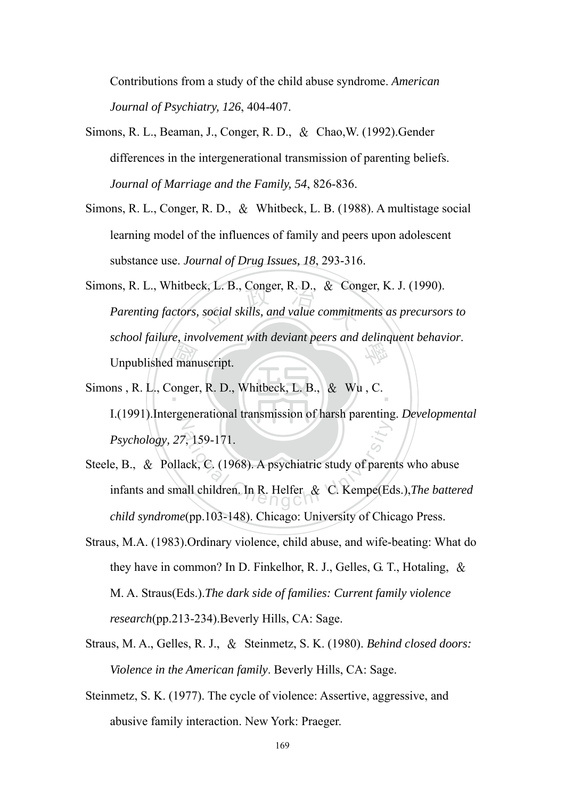Contributions from a study of the child abuse syndrome. *American Journal of Psychiatry, 126*, 404-407.

- Simons, R. L., Beaman, J., Conger, R. D., & Chao,W. (1992).Gender differences in the intergenerational transmission of parenting beliefs. *Journal of Marriage and the Family, 54*, 826-836.
- Simons, R. L., Conger, R. D., & Whitbeck, L. B. (1988). A multistage social learning model of the influences of family and peers upon adolescent substance use. *Journal of Drug Issues, 18*, 293-316.
- l<br>man<br>onger k, L. B., Conger, R. D., & Cons<br>social skills, and value commitm 學 Simons, R. L., Whitbeck, L. B., Conger, R. D., & Conger, K. J. (1990). *Parenting factors, social skills, and value commitments as precursors to school failure, involvement with deviant peers and delinquent behavior*. Unpublished manuscript.
- Simons, R. L., Conger, R. D., Whitbeck, L. B., & Wu, C.  $\overline{Z}$ I.(1991).Intergenerational transmission of harsh parenting. *Developmental Psychology, 27*, 159-171.
- 7, 159-171.<br>ack, C. (1968). A psychiatric study of parentall children. In R. Helfer & C. Kempe(Ec Steele, B., & Pollack, C. (1968). A psychiatric study of parents who abuse infants and small children. In R. Helfer & C. Kempe(Eds.),*The battered child syndrome*(pp.103-148). Chicago: University of Chicago Press.
- Straus, M.A. (1983).Ordinary violence, child abuse, and wife-beating: What do they have in common? In D. Finkelhor, R. J., Gelles, G. T., Hotaling, & M. A. Straus(Eds.).*The dark side of families: Current family violence research*(pp.213-234).Beverly Hills, CA: Sage.
- Straus, M. A., Gelles, R. J., & Steinmetz, S. K. (1980). *Behind closed doors: Violence in the American family*. Beverly Hills, CA: Sage.
- Steinmetz, S. K. (1977). The cycle of violence: Assertive, aggressive, and abusive family interaction. New York: Praeger.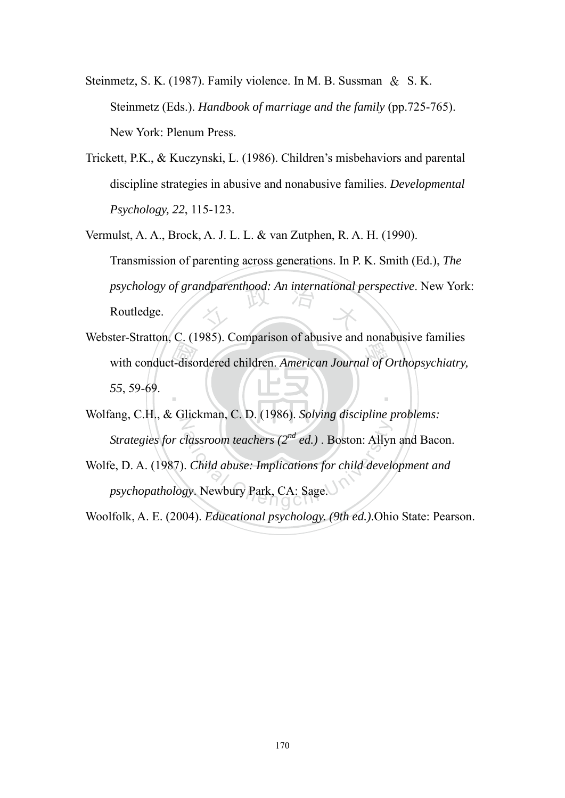- Steinmetz, S. K. (1987). Family violence. In M. B. Sussman & S. K. Steinmetz (Eds.). *Handbook of marriage and the family* (pp.725-765). New York: Plenum Press.
- Trickett, P.K., & Kuczynski, L. (1986). Children's misbehaviors and parental discipline strategies in abusive and nonabusive families. *Developmental Psychology, 22*, 115-123.
- psychology of grandparenthood: An international perspective. New York:<br>Routledge. Vermulst, A. A., Brock, A. J. L. L. & van Zutphen, R. A. H. (1990). Transmission of parenting across generations. In P. K. Smith (Ed.), *The*  Routledge.
- with conduct-disordered children. *American Journal of Orthopsychiatry,* 55, 59-69. ‧ Webster-Stratton, C. (1985). Comparison of abusive and nonabusive families *55*, 59-69.
- N Wolfang, C.H., & Glickman, C. D. (1986). *Solving discipline problems: Strategies for classroom teachers (2nd ed.)* . Boston: Allyn and Bacon.
- Atlassroom teachers  $(2^{nd}$  ed.) . Boston: Allyr<br>
Child abuse: Implications for child develogy. Newbury Park, CA: Sage. Wolfe, D. A. (1987). *Child abuse: Implications for child development and psychopathology*. Newbury Park, CA: Sage.

Woolfolk, A. E. (2004). *Educational psychology. (9th ed.)*.Ohio State: Pearson.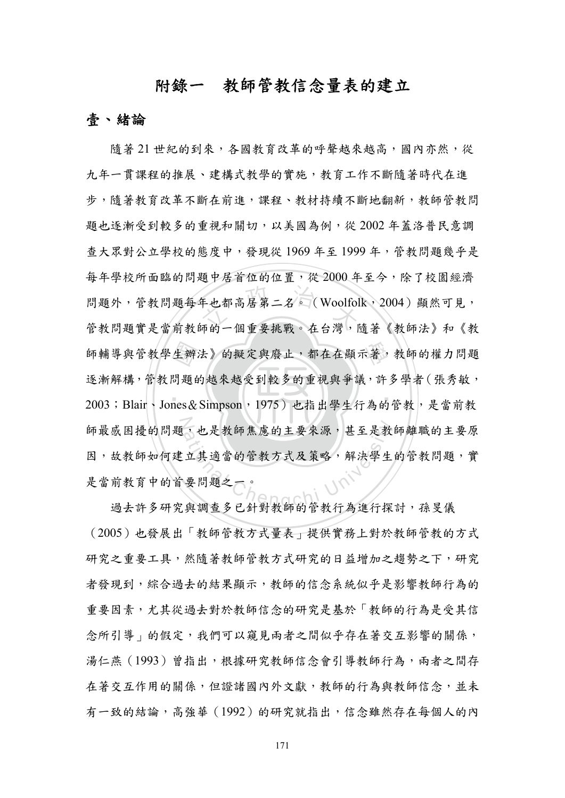# 附錄一教師管教信念量表的建立

#### 壹、緒論

生辦<br>問題<br>nes& 年也都高居第二名。(Woolfol<br>師的一個重要挑戰。在台灣, 師輔導與管教學生辦法》的擬定與廢止,都在在顯示著,教師的權力問題 ‧ 師最感困擾的問題,也是教師焦慮的主要來源,甚至是教師離職的主要原 ,也是教師焦慮的主要來源,甚至是教<br>立其適當的管教方式及策略,解決學生<br>要問題之一。<br>要問題之一。 隨著 21 世紀的到來,各國教育改革的呼聲越來越高,國內亦然,從 九年一貫課程的推展、建構式教學的實施,教育工作不斷隨著時代在進 步,隨著教育改革不斷在前進,課程、教材持續不斷地翻新,教師管教問 題也逐漸受到較多的重視和關切,以美國為例,從 2002 年蓋洛普民意調 查大眾對公立學校的態度中,發現從 1969 年至 1999 年,管教問題幾乎是 每年學校所面臨的問題中居首位的位置,從 2000 年至今,除了校園經濟 問題外,管教問題每年也都高居第二名。(Woolfolk,2004)顯然可見, 管教問題實是當前教師的一個重要挑戰。在台灣,隨著《教師法》和《教 逐漸解構,管教問題的越來越受到較多的重視與爭議,許多學者(張秀敏, 2003;Blair、Jones&Simpson,1975)也指出學生行為的管教,是當前教 因,故教師如何建立其適當的管教方式及策略,解決學生的管教問題,實 是當前教育中的首要問題之一。

過去許多研究與調查多已針對教師的管教行為進行探討,孫旻儀 (2005)也發展出「教師管教方式量表」提供實務上對於教師管教的方式 研究之重要工具,然隨著教師管教方式研究的日益增加之趨勢之下,研究 者發現到,綜合過去的結果顯示,教師的信念系統似乎是影響教師行為的 重要因素,尤其從過去對於教師信念的研究是基於「教師的行為是受其信 念所引導」的假定,我們可以窺見兩者之間似乎存在著交互影響的關係, 湯仁燕(1993)曾指出,根據研究教師信念會引導教師行為,兩者之間存 在著交互作用的關係,但證諸國內外文獻,教師的行為與教師信念,並未 有一致的結論,高強華(1992)的研究就指出,信念雖然存在每個人的內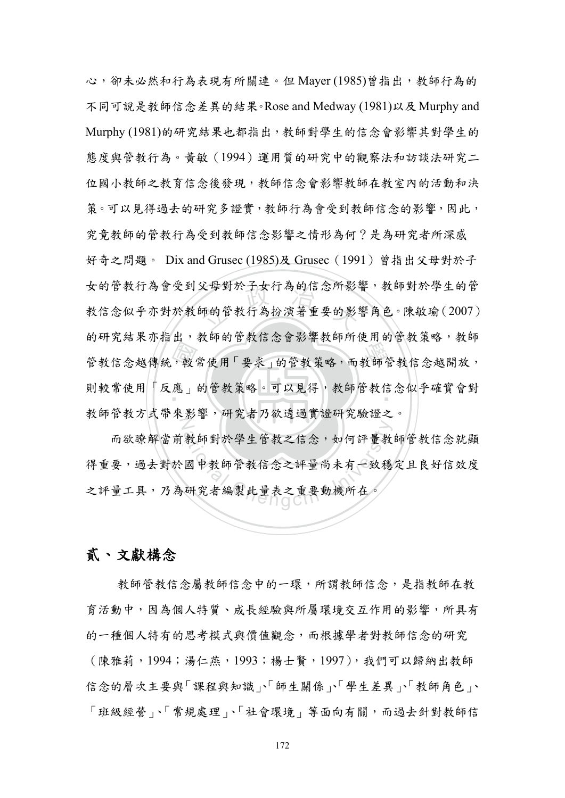部,我說說,說出一般,可以思想,說明說,說說自殺人也 狼子 又母對於士女行為的信念所彰:<br>師的管教行為扮演著重要的影!<br> 則較常使用「反應」的管教策略。可以見得,教師管教信念似乎確實會對 N 心,卻未必然和行為表現有所關連。但 Maver (1985)曾指出,教師行為的 不同可說是教師信念差異的結果。Rose and Medway (1981)以及 Murphy and Murphy (1981)的研究結果也都指出,教師對學生的信念會影響其對學生的 態度與管教行為。黃敏(1994)運用質的研究中的觀察法和訪談法研究二 位國小教師之教育信念後發現,教師信念會影響教師在教室內的活動和決 策。可以見得過去的研究多證實,教師行為會受到教師信念的影響,因此, 究竟教師的管教行為受到教師信念影響之情形為何?是為研究者所深感 好奇之問題。 Dix and Grusec (1985)及 Grusec (1991) 曾指出父母對於子 女的管教行為會受到父母對於子女行為的信念所影響,教師對於學生的管 教信念似乎亦對於教師的管教行為扮演著重要的影響角色。陳敏瑜(2007) 的研究結果亦指出,教師的管教信念會影響教師所使用的管教策略,教師 教師管教方式帶來影響,研究者乃欲透過實證研究驗證之。

教師對於學生管教之信念,如何評量教<br>國中教師管教信念之評量尚未有一致穩<br>研究者編製此量表之重要動機所在。 而欲瞭解當前教師對於學生管教之信念,如何評量教師管教信念就顯 得重要,過去對於國中教師管教信念之評量尚未有一致穩定且良好信效度 之評量工具,乃為研究者編製此量表之重要動機所在。

### 貳、文獻構念

 教師管教信念屬教師信念中的一環,所謂教師信念,是指教師在教 育活動中,因為個人特質、成長經驗與所屬環境交互作用的影響,所具有 的一種個人特有的思考模式與價值觀念,而根據學者對教師信念的研究 (陳雅莉,1994;湯仁燕,1993;楊士賢,1997),我們可以歸納出教師 信念的層次主要與「課程與知識」、師生關係」、學生差異」、教師角色」、 「班級經營」、「常規處理」、「社會環境」等面向有關,而過去針對教師信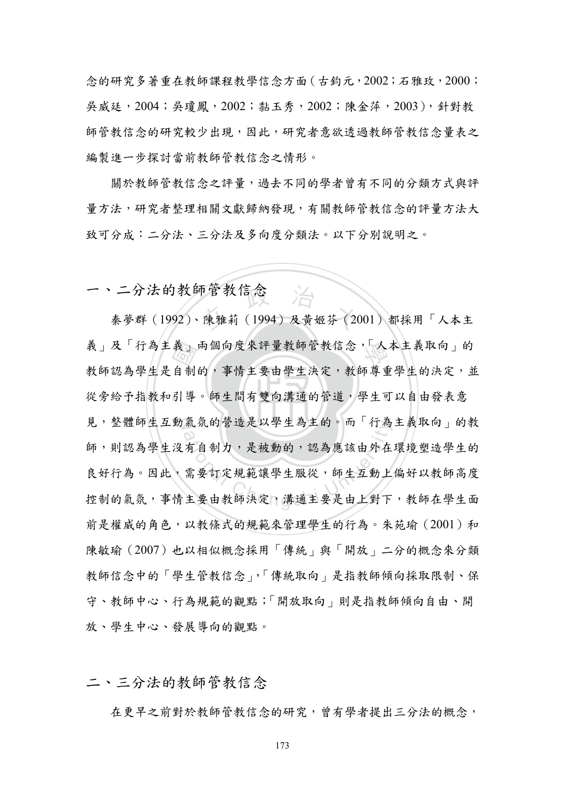念的研究多著重在教師課程教學信念方面(古鈞元,2002;石雅玫,2000; 吳威廷,2004;吳瓊鳳,2002;黏玉秀,2002;陳金萍,2003),針對教 師管教信念的研究較少出現,因此,研究者意欲透過教師管教信念量表之 編製進一步探討當前教師管教信念之情形。

關於教師管教信念之評量,過去不同的學者曾有不同的分類方式與評 量方法,研究者整理相關文獻歸納發現,有關教師管教信念的評量方法大 致可分成:二分法、三分法及多向度分類法。以下分別說明之。

一、二分法的教師管教信念

從旁給予指教和引導。師生間有雙向溝通的管道,學生可以自由發表意 義介制導 二分法的教師管教信念<br>秦夢群 (1992)、陳雅莉 (1994) 及黄姬芬 (2001) 都採用「人本主 義」及「行為主義」兩個向度來評量教師管教信念,「人本主義取向」的 見,整體師生互動氣氛的營造是以學生為主的。而「行為主義取向」的教 氣 50 営造走以学生為王的。而「行為<br>○ 自制力,是被動的,認為應該由外在<br><br>需要訂定規範讓學生服從,師生互動上<br>主要由教師決定,溝通主要是由上對下 教師認為學生是自制的,事情主要由學生決定,教師尊重學生的決定,並 師,則認為學生沒有自制力,是被動的,認為應該由外在環境塑造學生的 良好行為。因此,需要訂定規範讓學生服從,師生互動上偏好以教師高度 控制的氣氛,事情主要由教師決定,溝通主要是由上對下,教師在學生面 前是權威的角色,以教條式的規範來管理學生的行為。朱苑瑜(2001)和 陳敏瑜(2007)也以相似概念採用「傳統」與「開放」二分的概念來分類 教師信念中的「學生管教信念」,「傳統取向」是指教師傾向採取限制、保 守、教師中心、行為規範的觀點;「開放取向」則是指教師傾向自由、開 放、學生中心、發展導向的觀點。

二、三分法的教師管教信念

在更早之前對於教師管教信念的研究,曾有學者提出三分法的概念,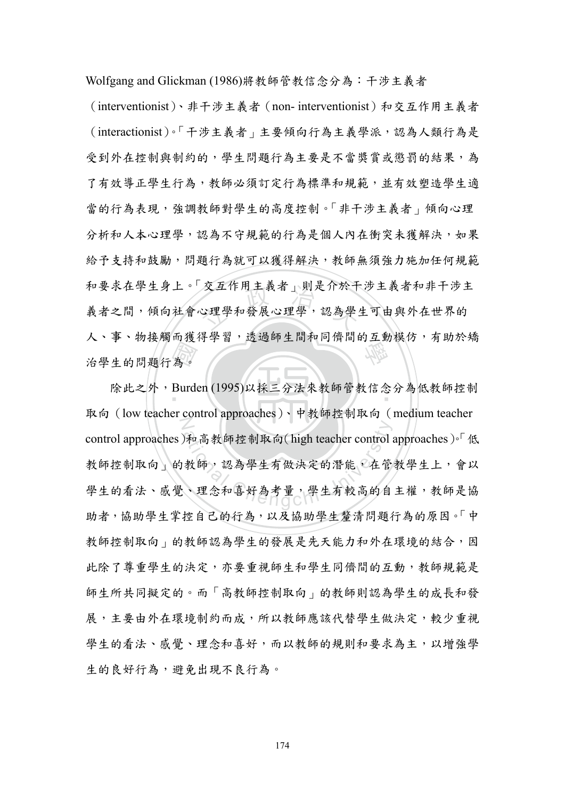Wolfgang and Glickman (1986)將教師管教信念分為:干涉主義者

<sup>立</sup> <sup>政</sup> <sup>治</sup> <sup>大</sup> 學 (interventionist)、非干涉主義者(non- interventionist)和交互作用主義者 (interactionist)。「干涉主義者」主要傾向行為主義學派,認為人類行為是 受到外在控制與制約的,學生問題行為主要是不當獎嘗或懲罰的結果,為 了有效導正學生行為,教師必須訂定行為標準和規範,並有效塑造學生適 當的行為表現,強調教師對學生的高度控制。「非干涉主義者」傾向心理 分析和人本心理學,認為不守規範的行為是個人內在衝突未獲解決,如果 給予支持和鼓勵,問題行為就可以獲得解決,教師無須強力施加任何規範 和要求在學生身上。「交互作用主義者」則是介於干涉主義者和非干涉主 義者之間,傾向社會心理學和發展心理學,認為學生可由與外在世界的 人、事、物接觸而獲得學習,透過師生間和同儕間的互動模仿,有助於矯 治學生的問題行為。

為。<br>Burde 除此之外,Burden (1995)以採三分法來教師管教信念分為低教師控制  $\mathbb Z$ 和高教師控制取向(high teacher control)<br>教師,認為學生有做決定的潛能,在管<br>、理念和喜好為考量,學生有較高的自 取向(low teacher control approaches)、中教師控制取向(medium teacher control approaches)和高教師控制取向(high teacher control approaches)。「低 教師控制取向 的教師,認為學生有做決定的潛能,在管教學生上,會以 學生的看法、感覺、理念和喜好為考量,學生有較高的自主權,教師是協 助者,協助學生掌控自己的行為,以及協助學生釐清問題行為的原因。「中 教師控制取向」的教師認為學生的發展是先天能力和外在環境的結合,因 此除了尊重學生的決定,亦要重視師生和學生同儕間的互動,教師規範是 師生所共同擬定的。而「高教師控制取向」的教師則認為學生的成長和發 展,主要由外在環境制約而成,所以教師應該代替學生做決定,較少重視 學生的看法、感覺、理念和喜好,而以教師的規則和要求為主,以增強學 生的良好行為,避免出現不良行為。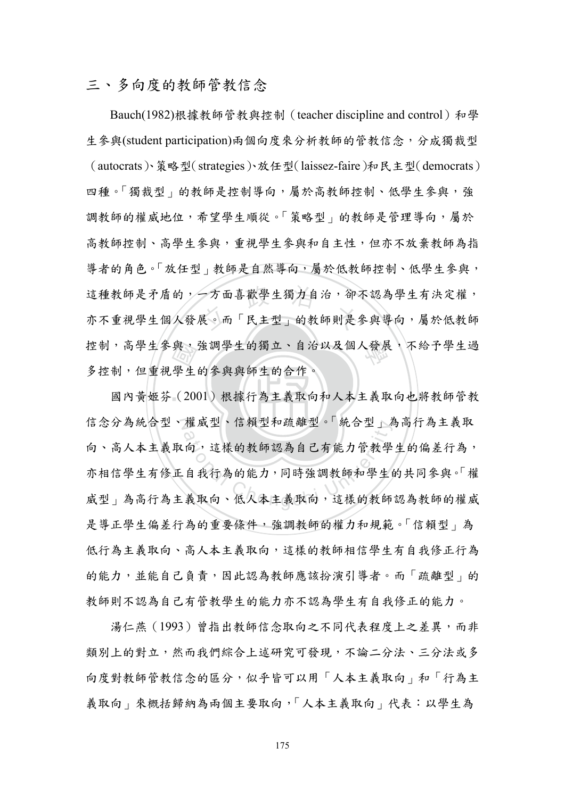#### 三、多向度的教師管教信念

與<br>學生<br>(20 這種教師是矛盾的,一方面喜歡學生獨力自治,卻不認為學生有決定權,<br>亦不重視學生個人發展。而「民主型」的教師則是參與導向,屬於低教師 控制,高學生參與,強調學生的獨立、自治以及個人發展,不給予學生過 Bauch(1982)根據教師管教與控制 (teacher discipline and control) 和學 生參與(student participation)兩個向度來分析教師的管教信念,分成獨裁型 (autocrats)、策略型(strategies)、放任型(laissez-faire)和民主型(democrats) 四種。「獨裁型」的教師是控制導向,屬於高教師控制、低學生參與,強 調教師的權威地位,希望學生順從。「策略型」的教師是管理導向,屬於 高教師控制、高學生參與學生參與和自主性,但亦不放棄教師為指 導者的角色。「放任型」教師是自然導向,屬於低教師控制、低學生參與, 這種教師是矛盾的,一方面喜歡學生獨力自治,卻不認為學生有決定權, 多控制,但重視學生的參與與師生的合作。

國內黃姬芬 (2001) 根據行為主義取向和人本主義取向也將教師管教 信念分為統合型、權威型、信賴型和疏離型。「統合型」為高行為主義取 罹風型、信賴型和疏離型。 統合型」為<br>○<br>向,這樣的教師認為自己有能力管教學<br>自我行為的能力,同時強調教師和學生<br>義取向、低人本主義取向,這樣的教師 向、高人本主義取向,這樣的教師認為自己有能力管教學生的偏差行為, 亦相信學生有修正自我行為的能力,同時強調教師和學生的共同參與。「權 威型 的高行為主義取向、低人本主義取向,這樣的教師認為教師的權威 是導正學生偏差行為的重要條件,強調教師的權力和規範。「信賴型」為 低行為主義取向、這樣的教師相信學生有自我修正行為 的能力,並能自己負責,因此認為教師應該扮演引導者。而「疏離型」的 教師則不認為自己有管教學生的能力亦不認為學生有自我修正的能力。

湯仁燕(1993)曾指出教師信念取向之不同代表程度上之差異,而非 類別上的對立,然而我們綜合上述研究可發現,不論二分法、三分法或多 向度對教師管教信念的區分,似乎皆可以用「人本主義取向」和「行為主 義取向」來概括歸納為兩個主要取向,「人本主義取向」代表:以學生為

175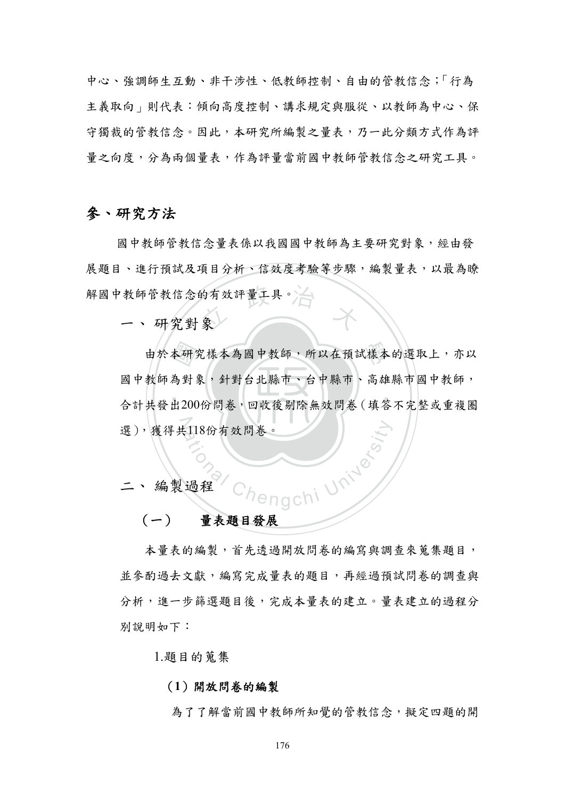中心、強調師生互動、非干涉性、低教師控制、自由的管教信念;「行為 主義取向」則代表:傾向高度控制、講求規定與服從、以教師為中心、保 守獨裁的管教信念。因此,本研究所編製之量表,乃一此分類方式作為評 量之向度,分為兩個量表,作為評量當前國中教師管教信念之研究工具。

#### 參、研究方法

解國中教師管教信念的有效評量工具。合作 國中教師管教信念量表係以我國國中教師為主要研究對象,經由發 展題目、進行預試及項目分析、信效度考驗等步驟,編製量表,以最為瞭

一、 研究對象

‧本研<br>為對<br>出200 由於本研究樣本為國中教師,所以在預試樣本的選取上,亦以 ‧ 選),獲得共118份有效問卷。 118份有效問卷。<br>Chengchi University<br>過程 Chengchi University 國中教師為對象,針對台北縣市、台中縣市、高雄縣市國中教師, 合計共發出200份問卷,回收後剔除無效問卷(填答不完整或重複圈

二、 編製過程

#### (一) 量表題目發展

本量表的編製,首先透過開放問卷的編寫與調查來蒐集題目, 並參酌過去文獻,編寫完成量表的題目,再經過預試問卷的調查與 分析,進一步篩選題目後,完成本量表的建立。量表建立的過程分 別說明如下:

1.題目的蒐集

#### (**1**)開放問卷的編製

為了了解當前國中教師所知覺的管教信念,擬定四題的開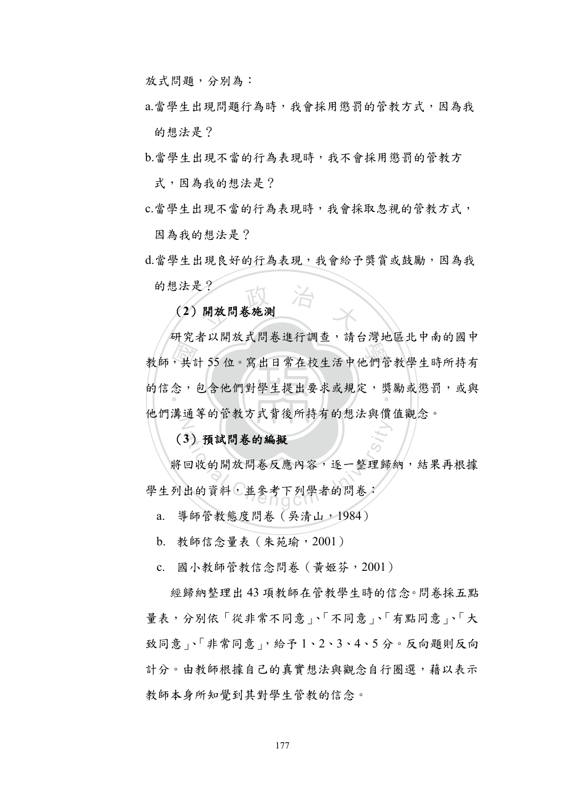放式問題,分別為:

a.當學生出現問題行為時,我會採用懲罰的管教方式,因為我 的想法是?

b.當學生出現不當的行為表現時,我不會採用懲罰的管教方 式,因為我的想法是?

c.當學生出現不當的行為表現時,我會採取忽視的管教方式, 因為我的想法是?

用放用卷施测 d.當學生出現良好的行為表現,我會給予獎賞或鼓勵,因為我 的想法是?

(**2**)開放問卷施測

"一共" 教師,共計 55 位。寫出日常在校生活中他們管教學生時所持有 的信念,包含他們對學生提出要求或規定,獎勵或懲罰,或與  $\overline{Z}$ 研究者以開放式問卷進行調查,請台灣地區北中南的國中 他們溝通等的管教方式背後所持有的想法與價值觀念。

(**3**)預試問卷的編擬

3) 預試問卷的編擬<br>回收的開放問卷反應內容,逐一整理歸 將回收的開放問卷反應內容,逐一整理歸納,結果再根據 學生列出的資料,並參考下列學者的問卷:

a. 導師管教態度問卷(吳清山,1984)

b. 教師信念量表(朱苑瑜,2001)

c. 國小教師管教信念問卷(黃姬芬,2001)

經歸納整理出 43 項教師在管教學生時的信念。問卷採五點 量表,分別依「從非常不同意」、「不同意」、「有點同意」、「大 致同意」、「非常同意」,給予 1、2、3、4、5 分。反向題則反向 計分。由教師根據自己的真實想法與觀念自行圈選,藉以表示 教師本身所知覺到其對學生管教的信念。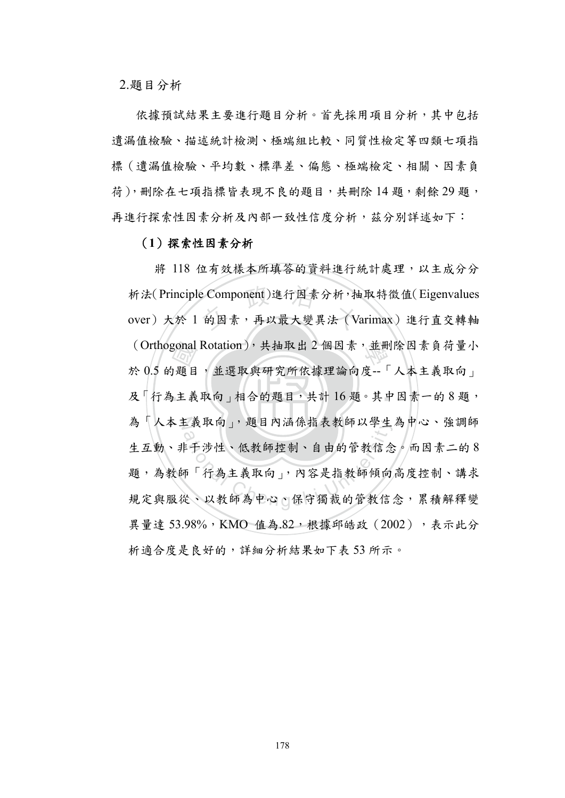2.題目分析

依據預試結果主要進行題目分析。首先採用項目分析,其中包括 遺漏值檢驗、描述統計檢測、極端組比較、同質性檢定等四類七項指 標(遺漏值檢驗、平均數、標準差、偏態、極端檢定、相關、因素負 荷),刪除在七項指標皆表現不良的題目,共刪除14題,剩餘29題, 再進行探索性因素分析及內部一致性信度分析,茲分別詳述如下:

#### (**1**)探索性因素分析

‧gonal<br>)題目<br>,主義 析法(Principle Component)進行因素分析,抽取特徵值(Eigenvalues<br>over) 大於 1 的因素,再以最大變異法 (Varimax) 進行直交轉軸 (Orthogonal Rotation),共抽取出 2 個因素,並刪除因素負荷量小 及「行為主義取向」相合的題目,共計16題。其中因素一的8題, 為「人本主義取向」,題目內涵係指表教師以學生為中心、強調師 為 人不王義取向」, 週目內涵係指表教師以学生為甲心、强調師<br>生互動、非干涉性、低教師控制、自由的管教信念。而因素二的8<br>題, 為教師「行為主義取向」, 內容是指教師傾向高度控制、講求<br>規定與服從、以教師為中心、保守獨裁的管教信念, 累積解釋變 將 118 位有效樣本所填答的資料進行統計處理,以主成分分 析法(Principle Component)進行因素分析,抽取特徵值(Eigenvalues 於 0.5 的題目,並選取與研究所依據理論向度--「人本主義取向」 生互動、非干涉性、低教師控制、自由的管教信念。而因素二的 8 題,為教師「行為主義取向」,內容是指教師傾向高度控制、講求 異量達 53.98%, KMO 值為.82, 根據邱皓政 (2002), 表示此分 析適合度是良好的,詳細分析結果如下表 53 所示。

178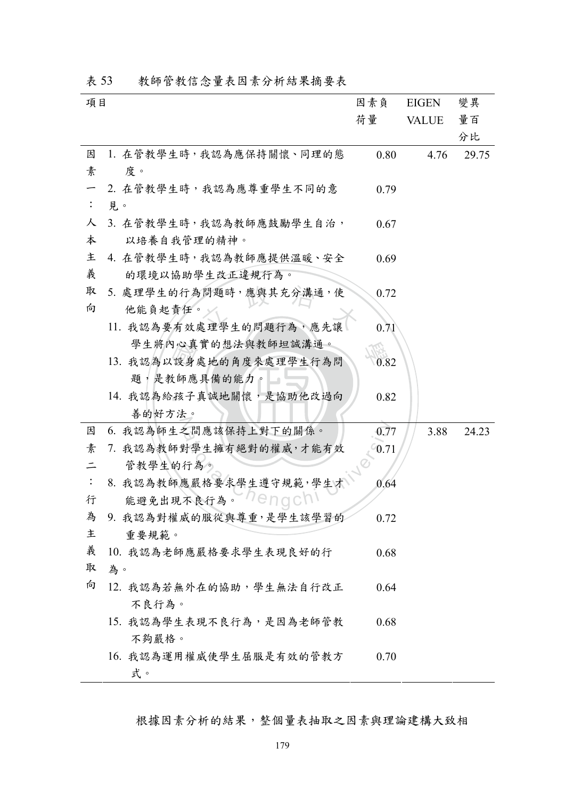| 項目             |                         | 因素負     | <b>EIGEN</b> | 變異    |
|----------------|-------------------------|---------|--------------|-------|
|                |                         | 荷量      | <b>VALUE</b> | 量百    |
|                |                         |         |              | 分比    |
| 因              | 1. 在管教學生時,我認為應保持關懷、同理的態 | 0.80    | 4.76         | 29.75 |
| 素              | 度。                      |         |              |       |
|                | 2. 在管教學生時,我認為應尊重學生不同的意  | 0.79    |              |       |
| $\ddot{\cdot}$ | 見。                      |         |              |       |
| 人              | 3. 在管教學生時,我認為教師應鼓勵學生自治, | 0.67    |              |       |
| 本              | 以培養自我管理的精神。             |         |              |       |
| 主              | 4. 在管教學生時,我認為教師應提供溫暖、安全 | 0.69    |              |       |
| 義              | 的環境以協助學生改正違規行為。         |         |              |       |
| 取              | 5. 處理學生的行為問題時,應與其充分溝通,使 | 0.72    |              |       |
| 向              | 他能負起責任。                 |         |              |       |
|                | 11. 我認為要有效處理學生的問題行為,應先讓 | 0.71    |              |       |
|                | 學生將內心真實的想法與教師坦誠溝通。      |         |              |       |
|                | 13. 我認為以設身處地的角度來處理學生行為問 | 0.82    |              |       |
|                | 題,是教師應具備的能力。            |         |              |       |
|                | 14. 我認為給孩子真誠地關懷,是協助他改過向 | 0.82    |              |       |
|                | 善的好方法。                  |         |              |       |
| 因              | 6. 我認為師生之間應該保持上對下的關係。   | 0.77    | 3.88         | 24.23 |
| 素              | 7. 我認為教師對學生擁有絕對的權威,才能有效 | $-0.71$ |              |       |
| $\equiv$       | 管教學生的行為。                |         |              |       |
| $\ddot{\cdot}$ | 8. 我認為教師應嚴格要求學生遵守規範,學生才 | 0.64    |              |       |
| 行              | 能避免出現不良行為。Wenoch        |         |              |       |
| 為              | 9. 我認為對權威的服從與尊重,是學生該學習的 | 0.72    |              |       |
| 主              | 重要規範。                   |         |              |       |
| 義              | 10. 我認為老師應嚴格要求學生表現良好的行  | 0.68    |              |       |
| 取              | 為。                      |         |              |       |
| 向              | 12. 我認為若無外在的協助,學生無法自行改正 | 0.64    |              |       |
|                | 不良行為。                   |         |              |       |
|                | 15. 我認為學生表現不良行為,是因為老師管教 | 0.68    |              |       |
|                | 不夠嚴格。                   |         |              |       |
|                | 16. 我認為運用權威使學生屈服是有效的管教方 | 0.70    |              |       |
|                | 式。                      |         |              |       |

表 53 教師管教信念量表因素分析結果摘要表

根據因素分析的結果,整個量表抽取之因素與理論建構大致相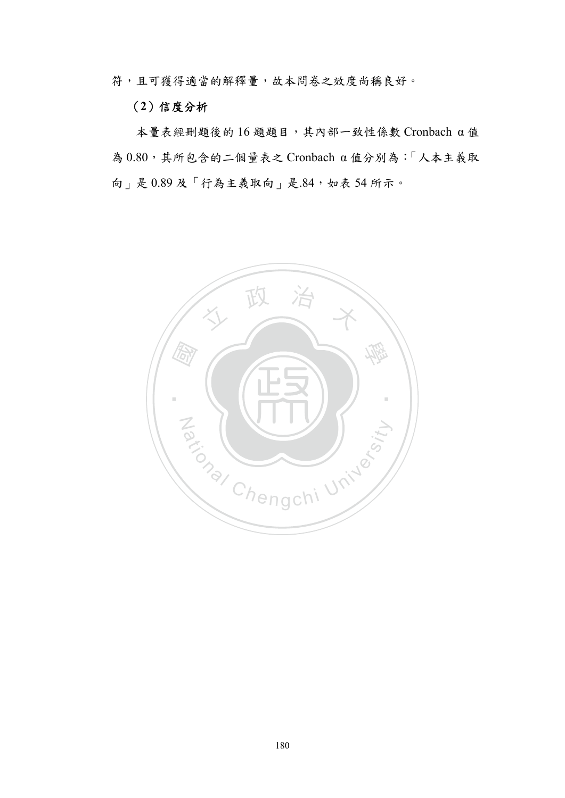符,且可獲得適當的解釋量,故本問卷之效度尚稱良好。

#### (**2**)信度分析

本量表經刪題後的 16 題題目,其內部一致性係數 Cronbach α 值 為 0.80,其所包含的二個量表之 Cronbach α 值分別為:「人本主義取 向」是 0.89 及「行為主義取向」是.84,如表 54 所示。

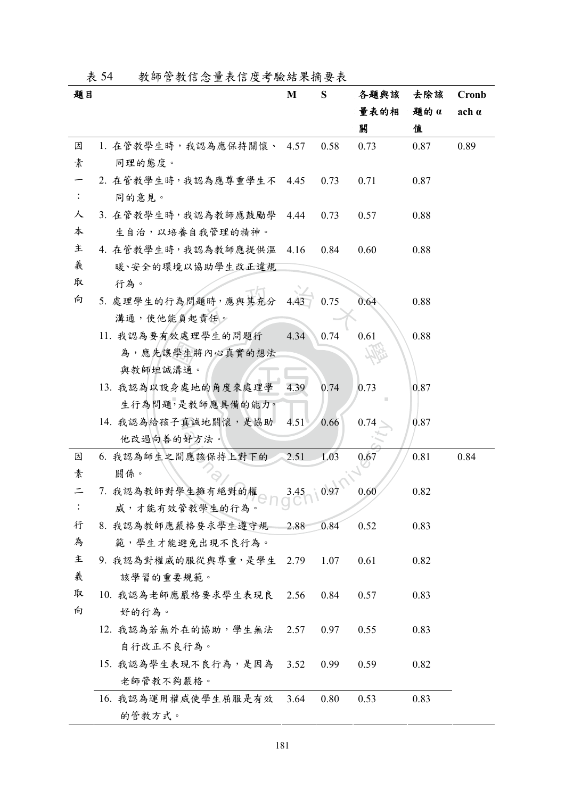|  |  | 表 54 | 教師管教信念量表信度考驗結果摘要表 |  |
|--|--|------|-------------------|--|
|--|--|------|-------------------|--|

| 題目 |                          | M    | S    | 各題與該 | 去除該  | Cronb        |
|----|--------------------------|------|------|------|------|--------------|
|    |                          |      |      | 量表的相 | 题的 α | $ach \alpha$ |
|    |                          |      |      | 關    | 值    |              |
| 因  | 1. 在管教學生時,我認為應保持關懷、 4.57 |      | 0.58 | 0.73 | 0.87 | 0.89         |
| 素  | 同理的態度。                   |      |      |      |      |              |
|    | 2. 在管教學生時,我認為應尊重學生不 4.45 |      | 0.73 | 0.71 | 0.87 |              |
|    | 同的意見。                    |      |      |      |      |              |
| 人  | 3. 在管教學生時,我認為教師應鼓勵學 4.44 |      | 0.73 | 0.57 | 0.88 |              |
| 本  | 生自治,以培養自我管理的精神。          |      |      |      |      |              |
| 主  | 4. 在管教學生時,我認為教師應提供溫      | 4.16 | 0.84 | 0.60 | 0.88 |              |
| 義  | 暖、安全的環境以協助學生改正違規         |      |      |      |      |              |
| 取  | 行為。                      |      |      |      |      |              |
| 向  | 5. 處理學生的行為問題時,應與其充分      | 4.43 | 0.75 | 0.64 | 0.88 |              |
|    | 溝通,使他能負起責任。              |      |      |      |      |              |
|    | 11. 我認為要有效處理學生的問題行       | 4.34 | 0.74 | 0.61 | 0.88 |              |
|    | 為,應先讓學生將內心真實的想法          |      |      |      |      |              |
|    | 與教師坦誠溝通。                 |      |      |      |      |              |
|    | 13. 我認為以設身處地的角度來處理學      | 4.39 | 0.74 | 0.73 | 0.87 |              |
|    | 生行為問題,是教師應具備的能力。         |      |      |      |      |              |
|    | 14. 我認為給孩子真誠地關懷,是協助      | 4.51 | 0.66 | 0.74 | 0.87 |              |
|    | 他改過向善的好方法。               |      |      |      |      |              |
| 因  | 6. 我認為師生之間應該保持上對下的       | 2.51 | 1.03 | 0.67 | 0.81 | 0.84         |
| 素  | 關係。                      |      |      |      |      |              |
|    | 7. 我認為教師對學生擁有絕對的權        | 3.45 | 0.97 | 0.60 | 0.82 |              |
|    | 威,才能有效管教學生的行為。           |      |      |      |      |              |
| 行  | 8. 我認為教師應嚴格要求學生遵守規       | 2.88 | 0.84 | 0.52 | 0.83 |              |
| 為  | 範,學生才能避免出現不良行為。          |      |      |      |      |              |
| 主  | 9. 我認為對權威的服從與尊重,是學生 2.79 |      | 1.07 | 0.61 | 0.82 |              |
| 義  | 該學習的重要規範。                |      |      |      |      |              |
| 取  | 10. 我認為老師應嚴格要求學生表現良 2.56 |      | 0.84 | 0.57 | 0.83 |              |
| 向  | 好的行為。                    |      |      |      |      |              |
|    | 12. 我認為若無外在的協助,學生無法 2.57 |      | 0.97 | 0.55 | 0.83 |              |
|    | 自行改正不良行為。                |      |      |      |      |              |
|    | 15. 我認為學生表現不良行為,是因為 3.52 |      | 0.99 | 0.59 | 0.82 |              |
|    | 老師管教不夠嚴格。                |      |      |      |      |              |
|    | 16. 我認為運用權威使學生屈服是有效      | 3.64 | 0.80 | 0.53 | 0.83 |              |
|    | 的管教方式。                   |      |      |      |      |              |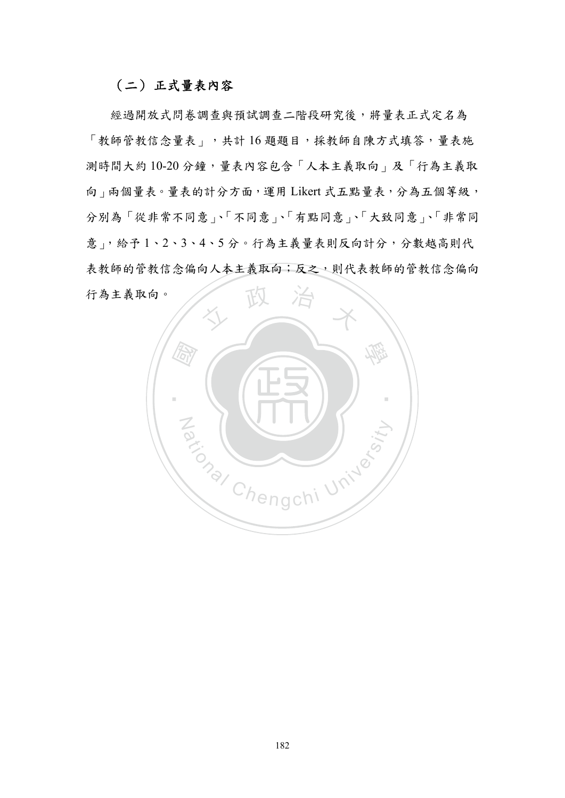#### (二) 正式量表內容

經過開放式問卷調查與預試調查二階段研究後,將量表正式定名為 「教師管教信念量表」,共計 16 題題目,採教師自陳方式填答,量表施 測時間大約 10-20 分鐘,量表內容包含「人本主義取向」及「行為主義取 向」兩個量表。量表的計分方面,運用 Likert 式五點量表,分為五個等級, 分別為「從非常不同意」、「不同意」、「有點同意」、「大致同意」、「非常同 意」,給予 1、2、3、4、5 分。行為主義量表則反向計分,分數越高則代 表教師的管教信念偏向人本主義取向;反之,則代表教師的管教信念偏向 行為主義取向。

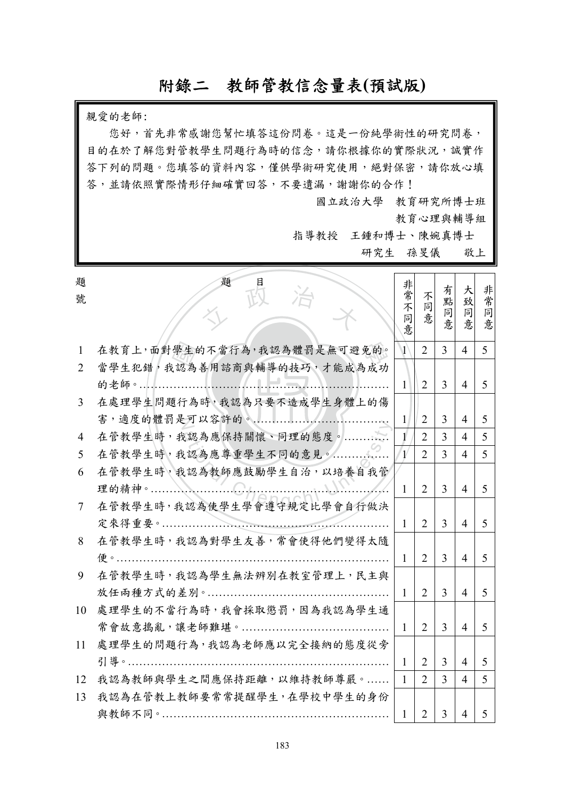# 附錄二教師管教信念量表**(**預試版**)**

親愛的老師:

您好,首先非常感謝您幫忙填答這份問卷。這是一份純學術性的研究問卷, 目的在於了解您對管教學生問題行為時的信念,請你根據你的實際狀況,誠實作 答下列的問題。您填答的資料內容,僅供學術研究使用,絕對保密,請你放心填 答,並請依照實際情形仔細確實回答,不要遺漏,謝謝你的合作!

題 目

國立政治大學 教育研究所博士班

教育心理與輔導組

有吧

太 非常

指導教授 王鍾和博士、陳婉真博士

研究生 孫旻儀 敬上

非常

題 號

| ∼<br>號                      |                             | 开常<br>不      | 不<br>同         | 有<br>點         | 大<br>致<br>同    | 非常     |
|-----------------------------|-----------------------------|--------------|----------------|----------------|----------------|--------|
|                             |                             | 同<br>意       | 意              | 同<br>意         | 意              | 同<br>意 |
| 1                           | 在教育上,面對學生的不當行為,我認為體罰是無可避免的。 | $\mathbf{1}$ | $\overline{2}$ | $\overline{3}$ | $\overline{4}$ | 5      |
| $\mathcal{D}_{\mathcal{L}}$ | 當學生犯錯,我認為善用諮商與輔導的技巧,才能成為成功  |              |                |                |                |        |
|                             | 的老師。<br>7. <del>.</del> .   | $\mathbf{1}$ | $\overline{2}$ | $\overline{3}$ | 4              | 5      |
| 3                           | 在處理學生問題行為時,我認為只要不造成學生身體上的傷  |              |                |                |                |        |
|                             |                             | $\mathbf{1}$ | $\overline{2}$ | 3              | $\overline{4}$ | 5      |
| 4                           | 在管教學生時,我認為應保持關懷、同理的態度。      | 1            | $\overline{2}$ | 3              | $\overline{4}$ | 5      |
| 5                           | 在管教學生時,我認為應尊重學生不同的意見。       |              | $\overline{2}$ | $\overline{3}$ | $\overline{4}$ | 5      |
| 6                           | 在管教學生時,我認為教師應鼓勵學生自治,以培養自我管  |              |                |                |                |        |
|                             | 理的精神。                       | $\mathbf{1}$ | $\overline{2}$ | $\overline{3}$ | $\overline{4}$ | 5      |
| 7                           | 在管教學生時,我認為使學生學會遵守規定比學會自行做決  |              |                |                |                |        |
|                             |                             | 1            | 2              | 3              | $\overline{4}$ | 5      |
| 8                           | 在管教學生時,我認為對學生友善,常會使得他們變得太隨  |              |                |                |                |        |
|                             | 便。……                        | 1            | $\overline{2}$ | $\overline{3}$ | $\overline{4}$ | 5      |
| 9                           | 在管教學生時,我認為學生無法辨別在教室管理上,民主與  |              |                |                |                |        |
|                             |                             | 1            | $\overline{2}$ | $\overline{3}$ | $\overline{4}$ | 5      |
| 10                          | 處理學生的不當行為時,我會採取懲罰,因為我認為學生通  |              |                |                |                |        |
|                             | 常會故意搗亂,讓老師難堪。               | $\mathbf{1}$ | 2              | 3              | $\overline{4}$ | 5      |
| 11                          | 處理學生的問題行為,我認為老師應以完全接納的態度從旁  |              |                |                |                |        |
|                             | 引導。                         | $\mathbf{1}$ | $\overline{2}$ | 3              | $\overline{4}$ | 5      |
| 12                          | 我認為教師與學生之間應保持距離,以維持教師尊嚴。    | $\mathbf{1}$ | $\overline{2}$ | $\overline{3}$ | $\overline{4}$ | 5      |
| 13                          | 我認為在管教上教師要常常提醒學生,在學校中學生的身份  |              |                |                |                |        |
|                             |                             | 1            | $\overline{2}$ | $\overline{3}$ | $\overline{4}$ | 5      |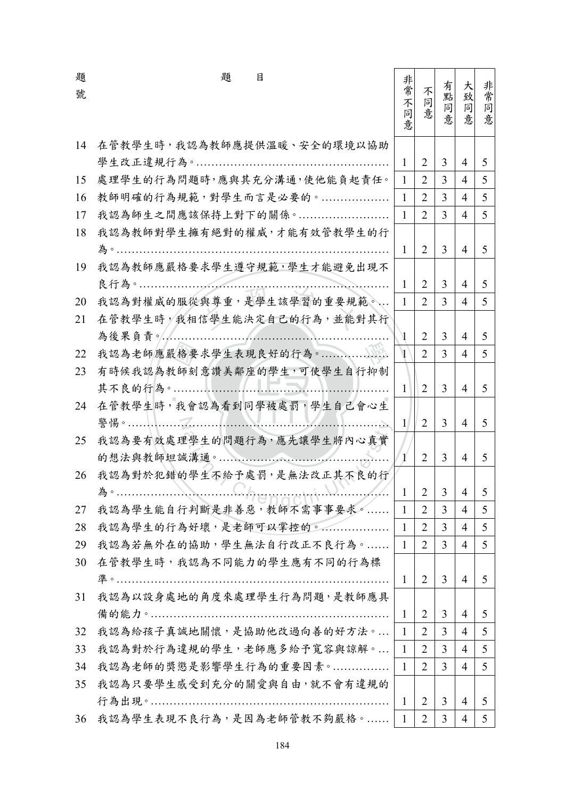| 題  | 題<br>目                      | 非                     |                |                |                |               |
|----|-----------------------------|-----------------------|----------------|----------------|----------------|---------------|
| 號  |                             | 常不                    | 不<br>同         | 有<br>點         | 大<br>致         | 非常            |
|    |                             | 同                     | 意              | 同<br>意         | 同              | 同<br>意        |
|    |                             | 意                     |                |                | 意              |               |
| 14 | 在管教學生時,我認為教師應提供溫暖、安全的環境以協助  |                       |                |                |                |               |
|    |                             | $\mathbf{1}$          | $\overline{2}$ | $\overline{3}$ | $\overline{4}$ | 5             |
| 15 | 處理學生的行為問題時,應與其充分溝通,使他能負起責任。 | $\mathbf{1}$          | $\overline{2}$ | $\overline{3}$ | $\overline{4}$ | 5             |
| 16 | 教師明確的行為規範,對學生而言是必要的。        | $\mathbf{1}$          | $\overline{2}$ | 3              | $\overline{4}$ | 5             |
| 17 | 我認為師生之間應該保持上對下的關係。          | $\mathbf{1}$          | $\overline{2}$ | 3              | $\overline{4}$ | 5             |
| 18 | 我認為教師對學生擁有絕對的權威,才能有效管教學生的行  |                       |                |                |                |               |
|    |                             | 1                     | 2              | 3              | $\overline{4}$ | 5             |
| 19 | 我認為教師應嚴格要求學生遵守規範,學生才能避免出現不  |                       |                |                |                |               |
|    |                             | 1                     | $\overline{2}$ | 3              | $\overline{4}$ | 5             |
| 20 | 我認為對權威的服從與尊重,是學生該學習的重要規範。   | $\mathbf{1}$          | $\overline{2}$ | $\overline{3}$ | 4              | 5             |
| 21 | 在管教學生時,我相信學生能決定自己的行為,並能對其行  |                       |                |                |                |               |
|    | 為後果負責。                      |                       | 2              | $\overline{3}$ | 4              | 5             |
| 22 |                             | $\mathbf{1}$          | $\overline{2}$ | 3              | 4              | 5             |
| 23 | 有時候我認為教師刻意讚美鄰座的學生,可使學生自行抑制  |                       |                |                |                |               |
|    |                             | $\mathbf{1}$          | 2              | 3              | $\overline{4}$ | 5             |
| 24 | 在管教學生時,我會認為看到同學被處罰,學生自己會心生  |                       |                |                |                |               |
|    | $\blacksquare$              | $\mathbf{1}$          | 2              | 3              | $\overline{4}$ | 5             |
| 25 | 我認為要有效處理學生的問題行為,應先讓學生將內心真實  |                       |                |                |                |               |
|    |                             | $\mathbf{1}^{\prime}$ | $\overline{2}$ | $\overline{3}$ | 4              | 5             |
| 26 | 我認為對於犯錯的學生不給予處罰,是無法改正其不良的行  |                       |                |                |                |               |
|    |                             | $\mathbf{1}$          | 2              | 3              | 4              | $\mathcal{L}$ |
| 27 | 我認為學生能自行判斷是非善惡,教師不需事事要求。    | $\mathbf{1}$          | $\overline{2}$ | $\mathfrak{Z}$ | 4              | 5             |
| 28 | 我認為學生的行為好壞,是老師可以掌控的。        | $\mathbf{1}$          | $\overline{2}$ | 3              | $\overline{4}$ | 5             |
| 29 | 我認為若無外在的協助,學生無法自行改正不良行為。    | $\mathbf{1}$          | $\overline{2}$ | 3              | $\overline{4}$ | 5             |
| 30 | 在管教學生時,我認為不同能力的學生應有不同的行為標   |                       |                |                |                |               |
|    |                             | 1                     | 2              | 3              | $\overline{4}$ | 5             |
| 31 | 我認為以設身處地的角度來處理學生行為問題,是教師應具  |                       |                |                |                |               |
|    |                             | $\mathbf{1}$          | 2              | 3              | 4              | 5             |
| 32 | 我認為給孩子真誠地關懷,是協助他改過向善的好方法。   | $\mathbf{1}$          | $\overline{2}$ | $\overline{3}$ | 4              | 5             |
| 33 | 我認為對於行為違規的學生,老師應多給予寬容與諒解。   | $\mathbf{1}$          | $\overline{2}$ | $\overline{3}$ | 4              | 5             |
| 34 | 我認為老師的獎懲是影響學生行為的重要因素。       | $\mathbf{1}$          | 2              | 3              | 4              | 5             |
| 35 | 我認為只要學生感受到充分的關愛與自由,就不會有違規的  |                       |                |                |                |               |
|    |                             | 1                     | 2              | 3              | $\overline{4}$ | 5             |
| 36 | 我認為學生表現不良行為,是因為老師管教不夠嚴格。    | $\mathbf{1}$          | $\overline{2}$ | 3              | 4              | 5             |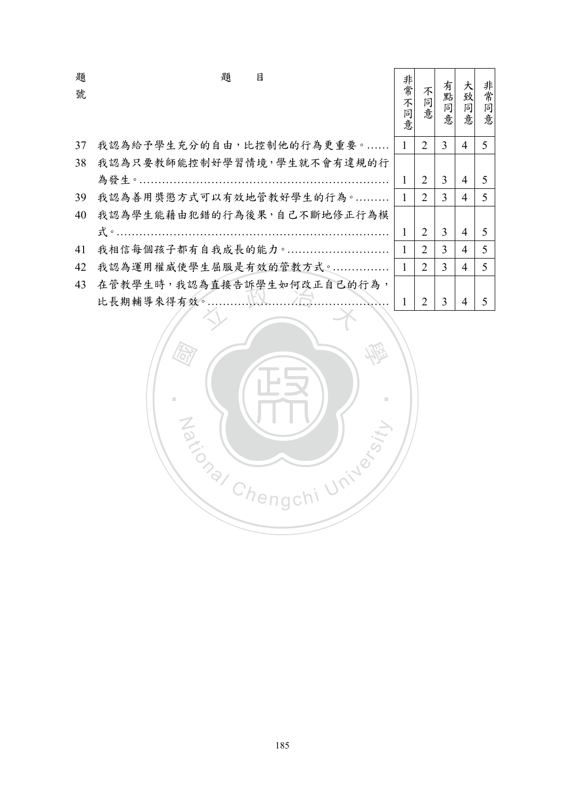| 題  | 題<br>目                                                          | 非常     |                             |    | 大              |        |
|----|-----------------------------------------------------------------|--------|-----------------------------|----|----------------|--------|
| 號  |                                                                 | 不      | 不                           | 有點 | 致              | 非常     |
|    |                                                                 | 同<br>意 | 同意                          | 同意 | 同意             | 同<br>意 |
|    |                                                                 |        |                             |    |                |        |
| 37 | 我認為給予學生充分的自由,比控制他的行為更重要。                                        | 1      | 2                           | 3  | 4              | 5      |
| 38 | 我認為只要教師能控制好學習情境,學生就不會有違規的行                                      |        |                             |    |                |        |
|    |                                                                 | 1      | 2                           | 3  | 4              | 5      |
| 39 | 我認為善用獎懲方式可以有效地管教好學生的行為。                                         | 1      | $\overline{2}$              | 3  | 4              | 5      |
| 40 | 我認為學生能藉由犯錯的行為後果,自己不斷地修正行為模                                      |        |                             |    |                |        |
|    | 式。…………………………………………………………                                        | 1      | $\overline{2}$              | 3  | 4              | 5      |
| 41 | 我相信每個孩子都有自我成長的能力。                                               | 1      | $\mathcal{D}_{\mathcal{L}}$ | 3  | 4              | 5      |
| 42 | 我認為運用權威使學生屈服是有效的管教方式。                                           | 1      | $\overline{2}$              | 3  | $\overline{4}$ | 5      |
| 43 | 在管教學生時,我認為直接告訴學生如何改正自己的行為,                                      |        |                             |    |                |        |
|    | $\ldots$ $\mathbb{K}\mathbb{X}$ $\ldots$ / $\Box$<br>比長期輔導來得有效。 | 1      | 2                           | 3  | 4              | 5      |
|    |                                                                 |        |                             |    |                |        |

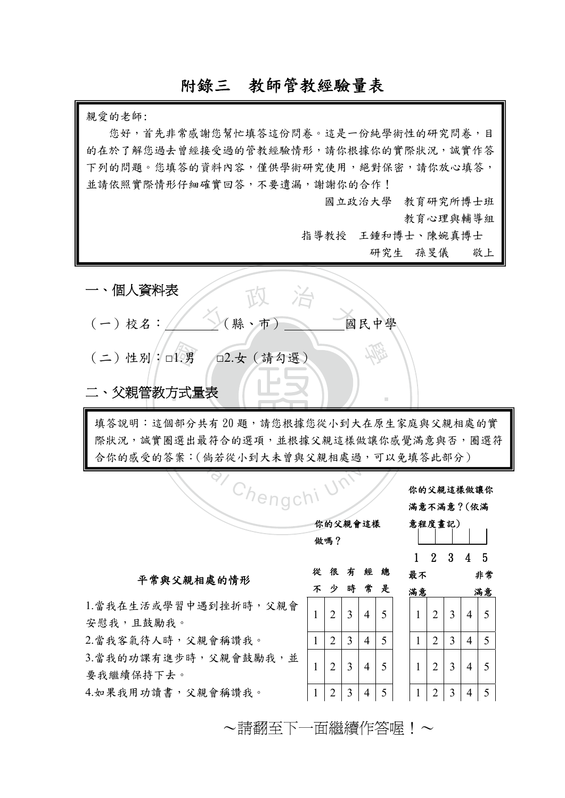# 附錄三教師管教經驗量表

親愛的老師:

‧1.男<br>与式量 文 政 治 道 學 ‧ 填答說明:這個部分共有20題,請您根據您從小到大在原生家庭與父親相處的實 Chengchi 一、個人資料表 (一)校名: ( 縣、市) 國民中學 (二)性別:□1.男 □2.女(請勾選) 二、父親管教方式量表 平常與父親相處的情形 不 少 時 常 很 有 經 總 是 滿意 滿意 1.當我在生活或學習中遇到挫折時,父親會 安慰我,且鼓勵我。 1 2 3 4 5 1 2 3 4 5 2.當我客氣待人時,父親會稱讚我。 | 1 | 2 | 3 | 4 | 5 | | 1 | 2 | 3 | 4 | 5 3.當我的功課有進步時,父親會鼓勵我,並 要我繼續保持下去。 2000日 2 2 2 3 4 5 1 2 3 4 5 你的父親這樣做讓你 滿意不滿意?(依滿 意程度畫記) 1 2 3 4 5 最不 非常 您好,首先非常感謝您幫忙填答這份問卷。這是一份純學術性的研究問卷,目 的在於了解您過去會經接受過的管教經驗情形,請你根據你的實際狀況,誠實作答 下列的問題。您填答的資料內容,僅供學術研究使用,絕對保密,請你放心填答, 並請依照實際情形仔細確實回答,不要遺漏,謝謝你的合作! 國立政治大學 教育研究所博士班 教育心理與輔導組 指導教授 王鍾和博士、陳婉真博士 研究生 孫旻儀 敬上 際狀況,誠實圈選出最符合的選項,並根據父親這樣做讓你感覺滿意與否,圈選符 合你的感受的答案:(倘若從小到大未曾與父親相處過,可以免填答此部分) 你的父親會這樣 做嗎?

4.如果我用功讀書,父親會稱讚我。 | 1 | 2 | 3 | 4 | 5 | | 1 | 2 | 3 | 4 | 5

~請翻至下一面繼續作答喔!~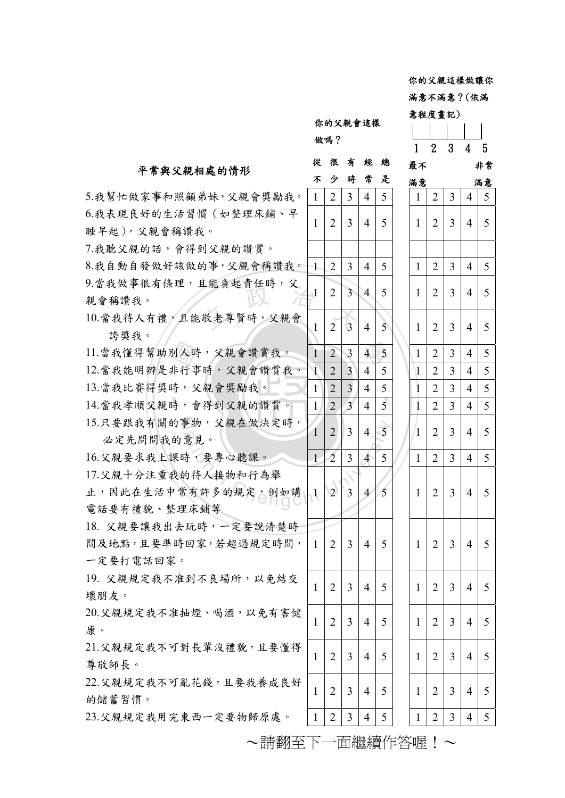你的父親這樣做讓你 滿意不滿意?(依滿

1 2 3 4 5 最不 非常

意程度畫記)

你的父親會這樣 做嗎?

#### 平常與父親相處的情形

# 很 有 經 總

|                        | 不              | 少              | 時               | 常              | 是              | 滿意           |                |                |   | 滿意             |
|------------------------|----------------|----------------|-----------------|----------------|----------------|--------------|----------------|----------------|---|----------------|
| 5.我幫忙做家事和照顧弟妹,父親會獎勵我。  | 1              | $\overline{2}$ | 3               | 4              | 5              | 1            | 2              | $\overline{3}$ | 4 | $\mathfrak{S}$ |
| 6.我表現良好的生活習慣(如整理床鋪、早   |                |                | 3               |                |                |              |                |                |   | 5              |
| 睡早起),父親會稱讚我。           | 1              | $\overline{2}$ |                 | $\overline{4}$ | 5              | 1            | 2              | 3              | 4 |                |
| 7.我聽父親的話,會得到父親的讚賞。     |                |                |                 |                |                |              |                |                |   |                |
| 8.我自動自發做好該做的事,父親會稱讚我。  | $\pm$          | 2              | 3               | 4              | 5              | $\mathbf{1}$ | 2              | 3              | 4 | 5              |
| 9.當我做事很有條理,且能負起責任時,父   |                |                | $\overline{3}$  | $\overline{4}$ | 5              | 1            | 2              | 3              | 4 | 5              |
| 親會稱讚我。                 | $\mathbf{1}$   | 2              |                 |                |                |              |                |                |   |                |
| 10.當我待人有禮,且能敬老尊賢時,父親會  | 1              | 2              | $\vert 3 \vert$ | 4              | $\overline{5}$ | 1            | 2              | 3              | 4 | 5              |
| 誇獎我。                   |                |                |                 |                |                |              |                |                |   |                |
| 11. 當我懂得幫助別人時,父親會讚賞我。  | $\mathbf{1}$   | $\overline{2}$ | 3               | $\mathbf{4}$   | 5              | 1            | 2              | 3              | 4 | 5              |
| 12.當我能明辨是非行事時,父親會讚賞我。  | $\overline{1}$ | 2              | $\overline{3}$  | $\overline{4}$ | 5              | 1            | 2              | 3              | 4 | 5              |
| 13.當我比賽得獎時,父親會獎勵我。     | $\mathbf{1}$   | $\overline{2}$ | $\overline{3}$  | $\overline{4}$ | 5              | 1            | $\overline{2}$ | 3              | 4 | 5              |
| 14.當我孝順父親時,會得到父親的讚賞。   | $\mathbf{1}$   | $\overline{2}$ | $\overline{3}$  | 4              | 5              | $\mathbf{I}$ | $\overline{2}$ | 3              | 4 | 5              |
| 15.只要跟我有關的事物,父親在做決定時,  | 1              | $\overline{2}$ | $\overline{3}$  | 4              | $\overline{5}$ | 1            | $\overline{2}$ | $\overline{3}$ | 4 | 5              |
| 必定先問問我的意見。             |                |                |                 |                |                |              |                |                |   |                |
| 16.父親要求我上課時,要專心聽課。     | $\perp$        | $\overline{2}$ | 3               | $\overline{4}$ | 5              | $\mathbf{1}$ | 2              | 3              | 4 | 5 <sup>5</sup> |
| 17.父親十分注重我的待人接物和行為舉    |                |                |                 |                |                |              |                |                |   |                |
| 止,因此在生活中常有許多的規定,例如講    | $\mathbf{1}$   | $\sqrt{2}$     | $\overline{3}$  | $\overline{4}$ | 5              | 1            | 2              | 3              | 4 | 5              |
| 電話要有禮貌、整理床鋪等           |                |                |                 |                |                |              |                |                |   |                |
| 18. 父親要讓我出去玩時,一定要說清楚時  |                |                |                 |                |                |              |                |                |   |                |
| 間及地點,且要準時回家,若超過規定時間,   | $\mathbf{1}$   | 2              | 3               | $\overline{4}$ | 5              | 1            | 2              | 3              | 4 | 5              |
| 一定要打電話回家。              |                |                |                 |                |                |              |                |                |   |                |
| 19. 父親規定我不准到不良場所, 以免結交 | L              | 2              | 3               | 4              | 5              | 1            | 2              | 3              | 4 | 5              |
| 壞朋友。                   |                |                |                 |                |                |              |                |                |   |                |
| 20.父親規定我不准抽煙、喝酒,以免有害健  | 1              | $\overline{2}$ | 3               | 4              | 5              | 1            | $\overline{2}$ | 3              | 4 | 5              |
| 康。                     |                |                |                 |                |                |              |                |                |   |                |
| 21.父親規定我不可對長輩沒禮貌,且要懂得  | 1              | 2              | 3               | 4              | 5              | 1            | 2              | 3              | 4 | 5              |
| 尊敬師長。                  |                |                |                 |                |                |              |                |                |   |                |
| 22.父親規定我不可亂花錢,且要我養成良好  | 1              | 2              | 3               | $\overline{4}$ | 5              | 1            | 2              | 3              | 4 | 5              |
| 的儲蓄習慣。                 |                |                |                 |                |                |              |                |                |   |                |
| 23.父親規定我用完東西一定要物歸原處。   | $\mathbf{1}$   | $\overline{2}$ | 3               | 4              | 5              | $\mathbf{1}$ | 2              | 3              | 4 | 5              |
| ~請翻至下一面繼續作答喔!~         |                |                |                 |                |                |              |                |                |   |                |
|                        |                |                |                 |                |                |              |                |                |   |                |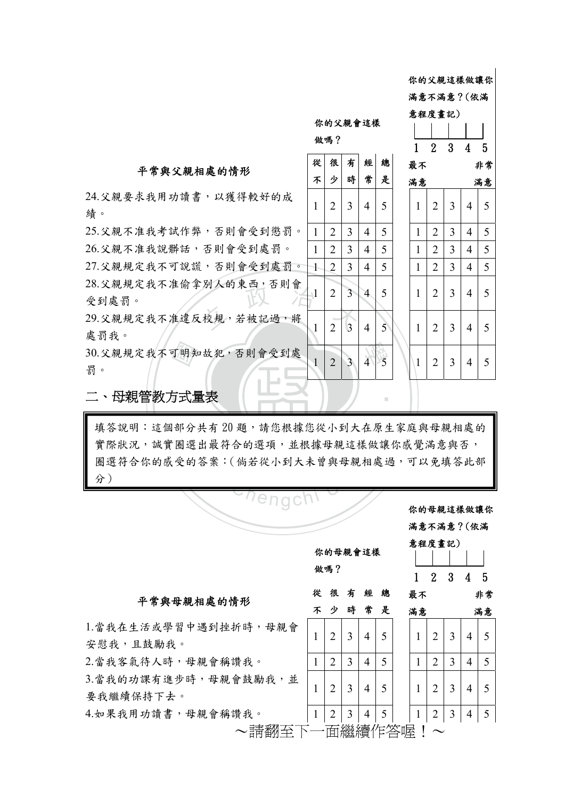你的父親這樣做讓你

滿意不滿意?(依滿

 $1 - 1 - 1 - 1$ 

意程度畫記)

你的父親會這樣

# 平常與父親相處的情形  $\begin{vmatrix} i \end{vmatrix}$

24.父親要求我用功讀書,以獲得較好的成 績。 2 2 2 3 4 5 1 2 3 4 5 1 2 3 4 5

20.义祝祝火我个准例手列入的米四,分別買<br>受到處罰。<br>29.父親規定我不准違反校規,若被記過,將 25.父親不准我考試作弊,否則會受到懲罰。 26.父親不准我說髒話,否則會受到處罰。 27.父親規定我不可說謊,否則會受到處罰。 28.父親規定我不准偷拿別人的東西,否則會 受到處罰。 1 2 3 4 5 1 2 3 4 5 1 2 3 4 5

處罰我。 1 2 3 4 5 1 2 3 4 5

<sub>可明知</sub><br>j式 30.父親規定我不可明知故犯,否則會受到處 罰。 1 2 3 4 5 1 2 3 4 5

| 做嗎?            |                |                         |                          |               |  |  |  |  |  |
|----------------|----------------|-------------------------|--------------------------|---------------|--|--|--|--|--|
| 從              | 很              | 有                       | 經                        | 總             |  |  |  |  |  |
| <b>不</b>       | ゕ              | 時                       | 常                        | 是             |  |  |  |  |  |
| $\mathbf{1}$   | $\overline{c}$ | 3                       | $\overline{4}$           | 5             |  |  |  |  |  |
| $\mathbf{1}$   | $\overline{2}$ | $\overline{\mathbf{3}}$ | $\overline{\mathcal{A}}$ |               |  |  |  |  |  |
| $\mathbf{1}$   | $\frac{1}{2}$  | $\frac{1}{3}$           | $\overline{4}$           | $\frac{5}{5}$ |  |  |  |  |  |
| $\overline{1}$ | $\overline{2}$ | $\overline{3}$          | $\overline{4}$           |               |  |  |  |  |  |
| $\mathbf{1}$   | $\overline{c}$ | $\overline{\mathbf{3}}$ | 4                        | 5             |  |  |  |  |  |
| $\mathbf{1}$   | $\overline{2}$ | $\overline{3}$          | $\overline{4}$           | 5             |  |  |  |  |  |
| $\mathbf{1}$   | $\overline{2}$ | 3                       | $\overline{4}$           | 5             |  |  |  |  |  |

‧

| 1            | $\overline{2}$ | 3              | 4                        | 5              |  |  |  |
|--------------|----------------|----------------|--------------------------|----------------|--|--|--|
| 非常<br>最不     |                |                |                          |                |  |  |  |
| 滿意<br>滿意     |                |                |                          |                |  |  |  |
| 1            | $\overline{2}$ | 3              | 4                        | 5              |  |  |  |
| $\mathbf{1}$ | $\overline{c}$ | 3              | $\overline{\mathcal{L}}$ | $\frac{1}{2}$  |  |  |  |
| $\mathbf{1}$ | $\overline{c}$ | 3              | $\overline{4}$           | $\overline{5}$ |  |  |  |
| $\mathbf{1}$ | $\overline{c}$ | $\overline{3}$ | $\overline{4}$           | $\overline{5}$ |  |  |  |
| $\mathbf{1}$ | $\overline{2}$ | 3              | $\overline{4}$           | 5              |  |  |  |
| 1            | $\overline{2}$ | 3              | 4                        | 5              |  |  |  |
| 1            | $\overline{c}$ | 3              | 4                        | 5              |  |  |  |

#### ‧二、母親管教方式量表

填答說明:這個部分共有 20 題,請您根據您從小到大在原生家庭與母親相處的<br>實際狀況,誠實圈選出最符合的選項,並根據母親這樣做讓你感覺滿意與否,<br>圈選符合你的感受的答案:(倘若從小到大未曾與母親相處過,可以免填答此部<br>分) 實際狀況,誠實圈選出最符合的選項,並根據母親這樣做讓你感覺滿意與否, 圈選符合你的感受的答案:(倘若從小到大未曾與母親相處過,可以免填答此部 分)

| <i>Chengchl</i>    |              |                |                | 你的母親會這樣 |   | 你的母親這樣做讓你<br>滿意不滿意?(依滿<br>意程度畫記) |                |   |                |    |
|--------------------|--------------|----------------|----------------|---------|---|----------------------------------|----------------|---|----------------|----|
|                    |              | 做嗎?            |                |         |   | 1                                | $\overline{2}$ | 3 | 4              | 5  |
| 母親相處的情形            | 從            | 很              | 有              | 經       | 總 | 最不                               |                |   |                | 非常 |
|                    |              | 少              | 時              | 常       | 是 | 滿意                               |                |   |                | 滿意 |
| <習中遇到挫折時,母親會<br>戈。 | 1            | 2              | 3              | 4       | 5 | 1                                | $\overline{2}$ | 3 | $\overline{4}$ | 5  |
| F, 母親會稱讚我。         | 1            | 2              | 3              | 4       | 5 | 1                                | $\overline{2}$ | 3 | 4              | 5  |
| !步時,母親會鼓勵我,並<br>よ。 | 1            | $\mathfrak{D}$ | 3              | 4       | 5 | 1                                | $\overline{2}$ | 3 | $\overline{4}$ | 5  |
| ;,母親會稱讚我。          | $\mathbf{1}$ | 2              | $\mathfrak{Z}$ | 4       | 5 | $\mathbf{1}$                     | 2              | 3 | 4              | 5  |
| ~請翻至下一面繼續作答喔       |              |                |                |         |   |                                  |                |   |                |    |

平常與

1.當我在生活或學 安慰我,且鼓勵我 2.當我客氣待人時

3.當我的功課有進 要我繼續保持下去

4.如果我用功讀書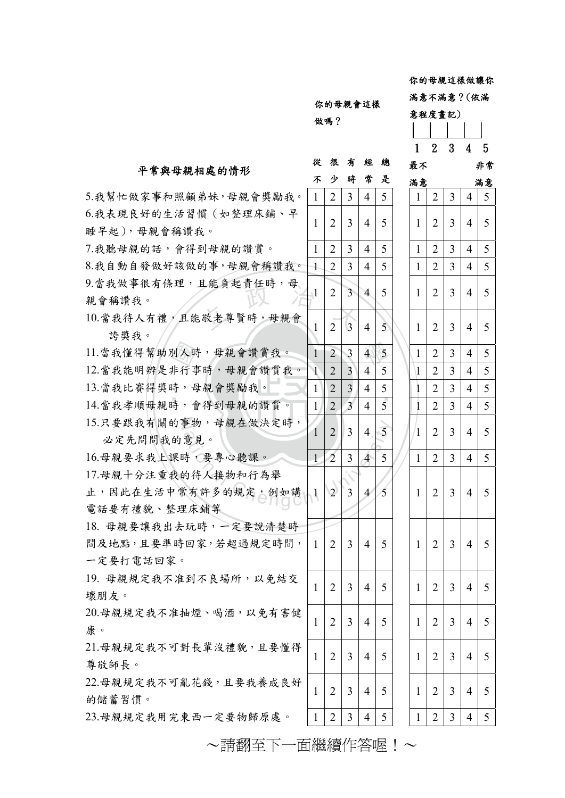你的母親這樣做讓你

|               | 你的母親會這樣 |
|---------------|---------|
| <u>ມ ເຂ</u> ດ |         |

#### 滿意不滿意?(依滿

# $\begin{array}{c|c}\n4 & 5 \\
\hline\n4 & 5\n\end{array}$  $rac{5}{5}$ **不少時常是** 很 有 經 總  $1 \mid 2 \mid 3 \mid 4 \mid 5 \mid 1 \mid 2 \mid 3 \mid 4 \mid 5$  $1 \mid 2 \mid 3 \mid 4 \mid 5 \mid 1 \mid 2 \mid 3 \mid 4 \mid 5$ 意程度畫記) 1 2 3 4 5 最不 非常 滿意 滿意 做嗎?

#### 平常與母親相處的情形

~請翻至下一面繼續作答喔!~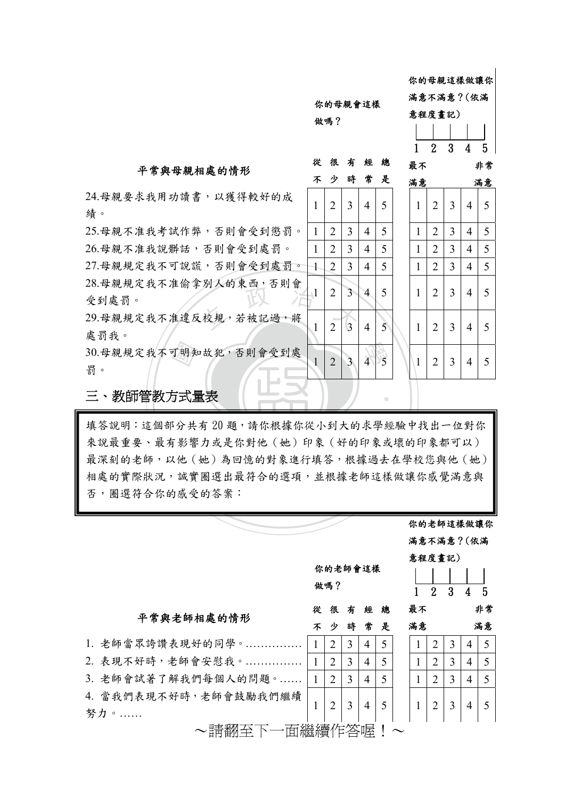你的母親會這樣 你的母親這樣做讓你 滿意不滿意?(依滿 意程度畫記)

做嗎?

#### 平常與母親相處的情形

24.母親要求我用功讀書,以獲得較好的成 績。 2 2 3 4 5 1 2 3 4 5 1 2 3 4 5

26.母祝況定找不准側手列入的末因,分別胃<br>受到處罰。<br>29.母親規定我不准違反校規,若被記過,將  $25.$ 母親不准我考試作弊, 否則會受到懲罰。 | 1 | 2 | 3 | 4 | 5  $26.$ 母親不准我說髒話,否則會受到處罰。 | 1 | 2 | 3 | 4 | 5  $27.$ 母親規定我不可說謊,否則會受到處罰。 1 2 3 4 5 28.母親規定我不准偷拿別人的東西,否則會 受到處罰。 1 2 3 4 5 1 2 3 4 5 1 2 3 4 5

處罰我。 1 2 3 4 5 1 2 3 4 5

<sub>可明知</sub><br>与式量 30.母親規定我不可明知故犯,否則會受到處 罰。 1 2 3 4 5 1 2 3 4 5

# $4 \overline{\smash{5}}$ **不少時常是** 很 有 經 總 1 2 3 4 5

‧

| 最不           |                |   |                | 非常             |
|--------------|----------------|---|----------------|----------------|
| 滿意           |                |   |                | 滿意             |
| 1            | $\overline{2}$ | 3 | 4              | 5              |
| $\mathbf{1}$ | $\overline{2}$ | 3 | $\overline{4}$ | 5              |
| $\mathbf{1}$ | $\overline{c}$ | 3 | $\overline{4}$ |                |
| $\mathbf{1}$ | $\overline{2}$ | 3 | $\overline{4}$ | $\overline{5}$ |
| $\mathbf 1$  | $\overline{2}$ | 3 | $\overline{4}$ | 5              |
| $\mathbf{1}$ | $\overline{2}$ | 3 | 4              | 5              |
| 1            | $\overline{2}$ | 3 | $\overline{4}$ | 5              |

#### ‧三、教師管教方式量表

填答說明:這個部分共有 20 題,請你根據你從小到大的求學經驗中找出一位對你 ·共有 20 題,請你根據你從小到大的求學經<br>多響力或是你對他(她)印象(好的印象或<br>2(她)為回憶的對象進行填答,根據過去<br><br>賞圈選出最符合的選項,並根據老師這樣<br><br><br><br><br><br>《受的答案: 來說最重要、最有影響力或是你對他(她)印象(好的印象或壞的印象都可以) 最深刻的老師,以他(她)為回憶的對象進行填答,根據過去在學校您與他(她) 相處的實際狀況,誠實圈選出最符合的選項,並根據老師這樣做讓你感覺滿意與 否,圈選符合你的感受的答案:

|                       |                       |                |                |                |   |  | 你的老師這樣做讓你    |                |                |                |    |  |  |  |  |
|-----------------------|-----------------------|----------------|----------------|----------------|---|--|--------------|----------------|----------------|----------------|----|--|--|--|--|
|                       |                       |                |                |                |   |  | 滿意不滿意?(依滿    |                |                |                |    |  |  |  |  |
|                       |                       |                |                |                |   |  |              |                | 意程度畫記)         |                |    |  |  |  |  |
|                       | 你的老師會這樣               |                |                |                |   |  |              |                |                |                |    |  |  |  |  |
|                       | 做嗎?                   |                |                |                |   |  |              | $\overline{2}$ | 3              | 4              | .5 |  |  |  |  |
|                       | 很<br>有<br>從<br>經<br>總 |                |                | 最不             |   |  |              | 非常             |                |                |    |  |  |  |  |
| 平常與老師相處的情形            | 不                     | 少              | 時              | 常              | 是 |  | 滿意           |                |                |                | 滿意 |  |  |  |  |
| 1. 老師當眾誇讚表現好的同學。      | $\mathbf{1}$          | $\overline{2}$ | 3              | $\overline{4}$ | 5 |  | $\mathbf{1}$ | $\overline{2}$ | $\overline{3}$ | 4              | 5  |  |  |  |  |
| 2. 表現不好時,老師會安慰我。      | $\mathbf{1}$          | $\overline{2}$ | 3              | $\overline{4}$ | 5 |  |              | $\overline{2}$ | 3              | $\overline{4}$ | 5  |  |  |  |  |
| 3. 老師會試著了解我們每個人的問題。   | $\mathbf{1}$          | $\overline{2}$ | 3              | $\overline{4}$ | 5 |  | 1            | $\overline{2}$ | 3              | $\overline{4}$ | 5  |  |  |  |  |
| 4. 當我們表現不好時,老師會鼓勵我們繼續 |                       |                |                |                |   |  |              |                |                |                |    |  |  |  |  |
| 努力。                   | $\mathbf{1}$          | 2              | $\overline{3}$ | $\overline{4}$ | 5 |  | 1            | $\overline{2}$ | 3              | $\overline{4}$ | 5  |  |  |  |  |
| 面繼續作答喔<br>~請翻全        |                       |                |                |                |   |  |              |                |                |                |    |  |  |  |  |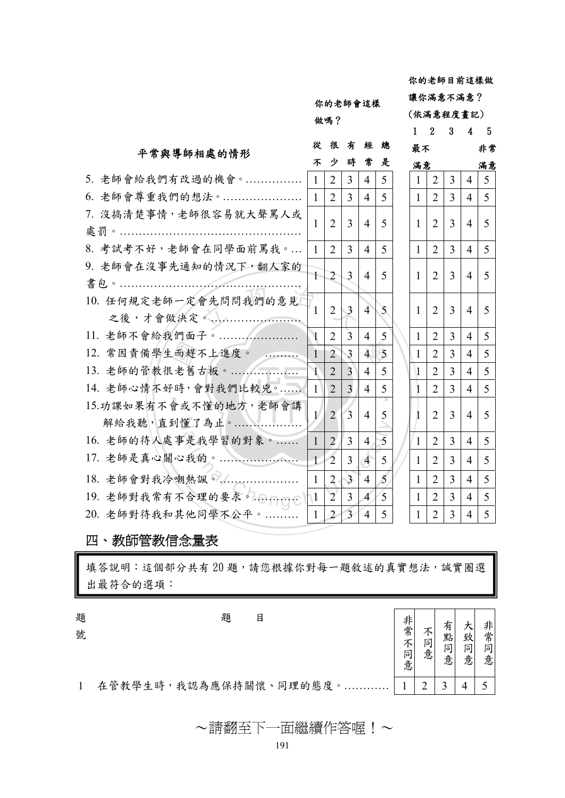你的老師會這樣 做嗎?

很

你的老師目前這樣做 讓你滿意不滿意? (依滿意程度畫記) 1 2 3 4 5

> 最不 非常 滿意 滿意

| 從              |                       |                          |                |               |   | 非            |                |                |                |   |  |
|----------------|-----------------------|--------------------------|----------------|---------------|---|--------------|----------------|----------------|----------------|---|--|
| 不              | 少                     |                          | 常              | 是             |   | 滿意           |                |                | 滿              |   |  |
| $\mathbf{1}$   | 2                     | 3                        | $\overline{4}$ | 5             |   | $\mathbf{1}$ | 2              | 3              | 4              | 5 |  |
| 1 <sup>1</sup> | 2                     | 3                        | 4              | 5             |   | $\mathbf{1}$ | 2              | 3              | 4              | 5 |  |
| 1              | $\overline{2}$        | 3                        | 4              | 5             |   | $\mathbf{1}$ | 2              | 3              | 4              | 5 |  |
| $\mathbf{1}$   | 2                     | 3                        | 4              | 5             |   | $\mathbf{1}$ | 2              | $\overline{3}$ | 4              | 5 |  |
| $\mathbb{L}$   | $\mathcal{L}$         | 3                        | 4              | 5             |   | $\mathbf{1}$ | 2              | 3              | $\overline{4}$ | 5 |  |
|                | $\overline{2}$        | 3                        | $\overline{4}$ | $\mathcal{F}$ |   | $\mathbf{1}$ | 2              | 3              | 4              | 5 |  |
| $\mathbf{I}$   | 2                     | 3                        | $\overline{4}$ | 5             |   | $\mathbf{1}$ | 2              | 3              | 4              | 5 |  |
| $\mathbf{1}$   | $\overline{2}$        | 3                        | $\overline{4}$ | 5             |   | $\mathbf{1}$ | $\overline{2}$ | 3              | $\overline{4}$ | 5 |  |
| $\mathcal{N}$  | $\overline{2}$        | $\overline{3}$           | $\overline{4}$ | 5             |   | $\mathbf{1}$ | $\overline{2}$ | 3              | 4              | 5 |  |
| $\vert$        | $\overline{2}$        | $\overline{3}$           | 4              | 5             |   | 1            | 2              | 3              | 4              | 5 |  |
|                | $\overline{2}$        | $\overline{3}$           | $\overline{4}$ | 5             |   |              | 2              | 3              | 4              | 5 |  |
| $\vert$ 1      | 2                     | 3                        | $\overline{4}$ | 5             |   | $\mathbf{1}$ | 2              | 3              | 4              | 5 |  |
| $+$            | $\overline{2}$        | 3                        | $\overline{4}$ | 5             |   | 1            | 2              | 3              | 4              | 5 |  |
| $\mathbf{1}$   | $\overline{2}$        | 3                        | $\overline{4}$ | 5             |   | $\mathbf{1}$ | 2              | 3              | 4              | 5 |  |
| $\Lambda$      | $\mathbf{2}^{\prime}$ | $\overline{3}$           | $\overline{A}$ | 5             |   | $\mathbf{1}$ | $\overline{2}$ | 3              | 4              | 5 |  |
| $\mathbf{1}$   | $\overline{2}$        | $\overline{\mathcal{L}}$ | $\overline{4}$ | 5             |   | 1            | 2              | 3              | 4              | 5 |  |
|                |                       | 很                        | 有<br>時         | 經             | 總 |              |                | 最不             |                |   |  |

四、教師管教信念量表

填答說明:這個部分共有20題,請您根據你對每一題敘述的真實想法,誠實圈選 出最符合的選項:

題 號 題 目

非常不同 大 非 有 不同 點 致 常 同 同 同 意 意 意 意 意

1 在管教學生時,我認為應保持關懷、同理的態度。………… | 1 | 2 | 3 | 4 | 5

~請翻至下一面繼續作答喔!~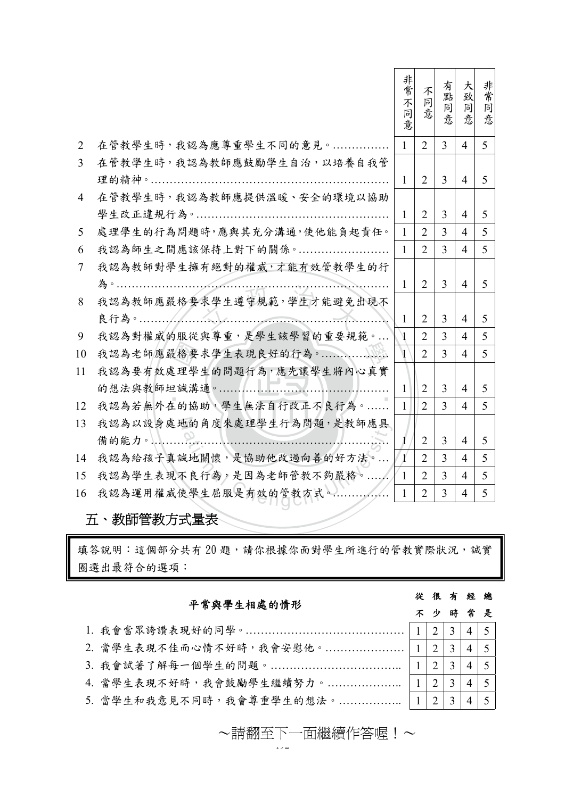|                |                              | 非常不<br>同<br>意  | 不<br>同<br>意    | 有點<br>同<br>意   | 大<br>致<br>同<br>意 | 非<br>常<br>同<br>意 |
|----------------|------------------------------|----------------|----------------|----------------|------------------|------------------|
| 2              | 在管教學生時,我認為應尊重學生不同的意見。        | $\mathbf{1}$   | $\overline{2}$ | $\overline{3}$ | $\overline{4}$   | 5 <sup>5</sup>   |
| $\overline{3}$ | 在管教學生時, 我認為教師應鼓勵學生自治, 以培養自我管 |                |                |                |                  |                  |
|                |                              | $\mathbf{1}$   | $\overline{2}$ | 3              | $\overline{4}$   | $5\overline{)}$  |
| $\overline{4}$ | 在管教學生時,我認為教師應提供溫暖、安全的環境以協助   |                |                |                |                  |                  |
|                |                              | $\mathbf{1}$   | $\overline{2}$ | 3              | $\overline{4}$   | 5                |
| 5              | 處理學生的行為問題時,應與其充分溝通,使他能負起責任。  | $\mathbf{1}$   | 2              | 3              | 4                | 5                |
| 6              | 我認為師生之間應該保持上對下的關係。           | $\mathbf{1}$   | 2              | 3              | 4                | 5                |
| 7              | 我認為教師對學生擁有絕對的權威,才能有效管教學生的行   |                |                |                |                  |                  |
|                |                              | $\mathbf{1}$   | $\overline{2}$ | $\overline{3}$ | $\overline{4}$   | 5                |
| 8              | 我認為教師應嚴格要求學生遵守規範,學生才能避免出現不   |                |                |                |                  |                  |
|                |                              | 1              | $\overline{2}$ | 3              | $\overline{4}$   | 5                |
| 9              | 我認為對權威的服從與尊重,是學生該學習的重要規範。    | $\mathbf{V}$   | $\overline{2}$ | $\overline{3}$ | 4                | 5                |
| 10             |                              | $\mathbf{1}$   | $\overline{2}$ | 3              | $\overline{4}$   | 5                |
| 11             | 我認為要有效處理學生的問題行為,應先讓學生將內心真實   |                |                |                |                  |                  |
|                |                              | $\mathbf{1}$   | 2              | 3              | $\overline{4}$   | 5                |
| 12             | 我認為若無外在的協助,學生無法自行改正不良行為。     | $\mathbf{1}$   | $\overline{2}$ | $\overline{3}$ | $\overline{4}$   | 5                |
| 13             | 我認為以設身處地的角度來處理學生行為問題,是教師應具   |                |                |                |                  |                  |
|                |                              | 1              | $\overline{2}$ | 3              | $\overline{4}$   | 5                |
| 14             | 我認為給孩子真誠地關懷,是協助他改過向善的好方法。    | $\gamma$       | $\overline{2}$ | 3              | $\overline{4}$   | 5                |
| 15             | 我認為學生表現不良行為,是因為老師管教不夠嚴格。     | $\mathbf{1}$   | $\overline{2}$ | 3              | 4                | 5                |
| 16             | 我認為運用權威使學生屈服是有效的管教方式。………………  | $\overline{1}$ | $\overline{2}$ | 3              | 4                | 5                |
|                |                              |                |                |                |                  |                  |

# 五、教師管教方式量表

填答說明:這個部分共有20題,請你根據你面對學生所進行的管教實際狀況,誠實 圈選出最符合的選項:

#### 平常與學生相處的情形

#### 很 有 經 總

1. 我會當眾誇讚表現好的同學。……………………………………… |1 | 2 | 3 | 4 | 5 2. 當學生表現不佳而心情不好時,我會安慰他。………………… |1 | 2 | 3 | 4 | 5 3. 我會試著了解每一個學生的問題。………………………………… |1|2|3|4|5 4. 當學生表現不好時,我會鼓勵學生繼續努力。………………….. |1 | 2 | 3 | 4 | 5 5. 當學生和我意見不同時,我會尊重學生的想法。……………….. |1|2|3|4|5

> بديد ~請翻至下一面繼續作答喔!~ ~請翻至下一面繼續作答喔!~

- 不 少 時 常 是
	-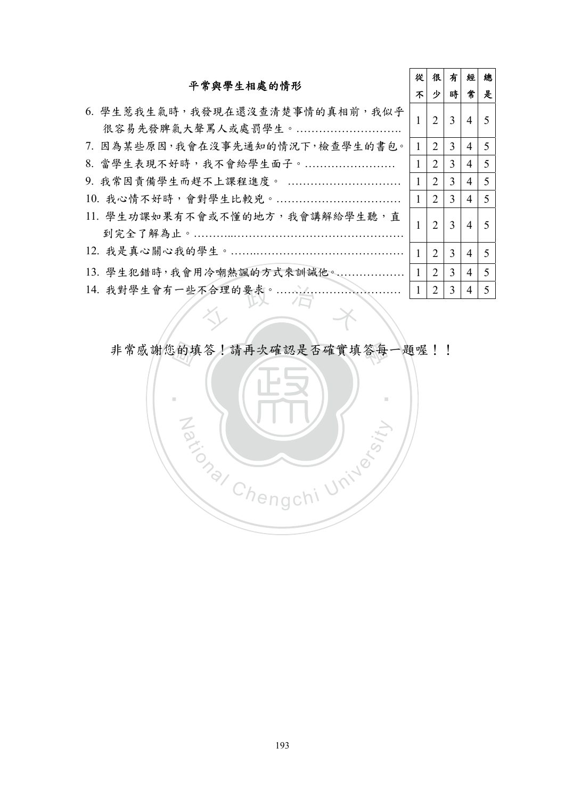| 平常與學生相處的情形                                          |              | 很                           | 有             | 經              | 總                        |
|-----------------------------------------------------|--------------|-----------------------------|---------------|----------------|--------------------------|
|                                                     |              | 少                           | 時             | 常              | 是                        |
| 6. 學生惹我生氣時,我發現在還沒查清楚事情的真相前,我似乎<br>很容易先發脾氣大聲罵人或處罰學生。 |              | $\overline{2}$              | 3             | $\overline{4}$ | 5                        |
| 7. 因為某些原因,我會在沒事先通知的情況下,檢查學生的書包。                     | $\mathbf{1}$ | 2                           | 3             | 4              | 5                        |
| 8. 當學生表現不好時,我不會給學生面子。                               | $\mathbf{1}$ | 2                           | 3             | 4              | 5                        |
| 9. 我常因責備學生而趕不上課程進度。                                 | $\mathbf{1}$ | 2                           | 3             | 4              | 5                        |
| 10. 我心情不好時,會對學生比較兇。                                 | $\mathbf{1}$ | 2                           | $\mathcal{E}$ | 4              | 5                        |
| 11. 學生功課如果有不會或不懂的地方,我會講解給學生聽,直                      |              | $\overline{2}$              | 3             | $\overline{4}$ | $\overline{\mathcal{L}}$ |
|                                                     | 1            | 2                           | 3             | 4              | 5                        |
| 13. 學生犯錯時,我會用冷嘲熱諷的方式來訓誡他。                           | $\mathbf{1}$ | $\mathcal{D}_{\mathcal{L}}$ | 3             | 4              | 5                        |
| 14. 我對學生會有一些不合理的要求。                                 |              | 2                           | 3             | 4              | 5                        |
|                                                     |              |                             |               |                |                          |

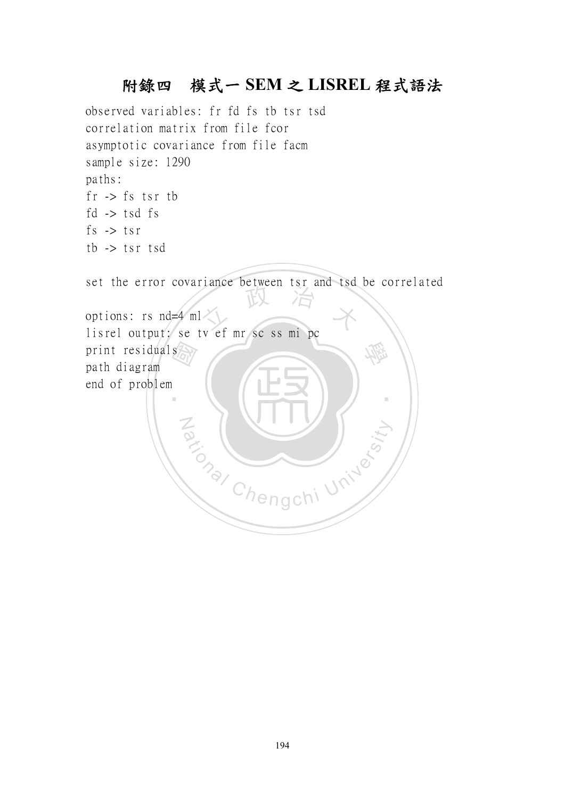# 附錄四模式一 **SEM** 之 **LISREL** 程式語法

observed variables: fr fd fs tb tsr tsd correlation matrix from file fcor asymptotic covariance from file facm sample size: 1290 paths:  $fr \rightarrow fs$  tsr th fd  $\rightarrow$  tsd fs fs -> tsr tb -> tsr tsd

set the error covariance between tsr and tsd be correlated

print residuals<br>
path diagram<br>
end of problem options: rs nd=4 ml<br>lisrel output: se tv ef mr sc ss mi pc 學 ‧ Za (NIV) options: rs nd=4 ml path diagram end of problem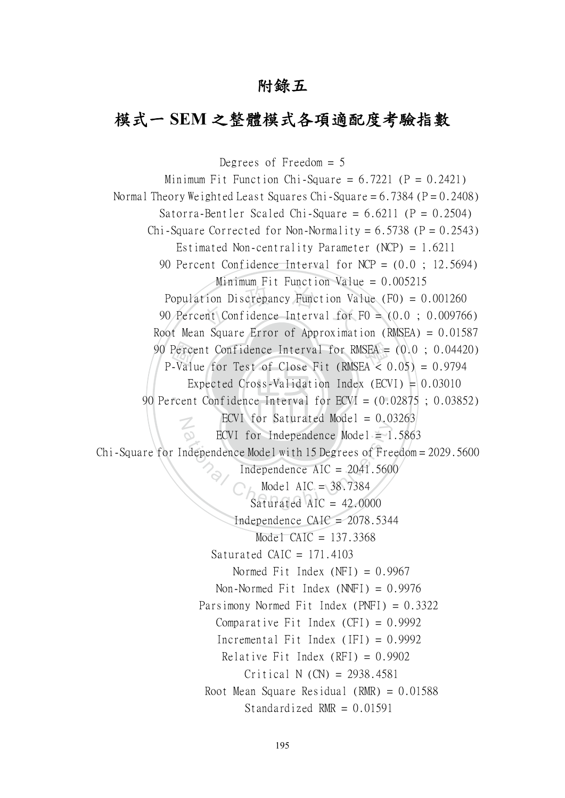# 附錄五

# 模式一 **SEM** 之整體模式各項適配度考驗指數

90 Percent Confidence Interval for  $ECVI = (0.02875 \; ; \; 0.03852)$ 90 Percent Confidence Interval for RMSEA = (0.0 ; 0.04420)<br>
P-Value for Test of Close Fit (RMSEA < 0.05) = 0.9794<br>
Expected Cross-Validation Index (ECVI) = 0.03010<br>
90 Percent Confidence Interval for ECVI = (0.02875 ; 0.03 tion Discrepancy Function Va<br>ent Confidence Interval for 1 N ECVI for Independence Model = 1<br>
ndependence Model with 15 Degrees of Fre<br>
Independence AIC = 2041.560<br>
Model AIC = 38.7384<br>
Saturated AIC = 42.0000 Degrees of Freedom = 5 Minimum Fit Function Chi-Square =  $6.7221$  (P =  $0.2421$ ) Normal Theory Weighted Least Squares Chi-Square  $= 6.7384$  (P $= 0.2408$ ) Satorra-Bentler Scaled Chi-Square =  $6.6211$  (P =  $0.2504$ ) Chi-Square Corrected for Non-Normality =  $6.5738$  (P =  $0.2543$ ) Estimated Non-centrality Parameter (NCP) = 1.6211 90 Percent Confidence Interval for NCP = (0.0 ; 12.5694) Minimum Fit Function Value =  $0.005215$  Population Discrepancy Function Value (F0) = 0.001260 90 Percent Confidence Interval for F0 = (0.0 ; 0.009766) Root Mean Square Error of Approximation (RMSEA) = 0.01587 P-Value for Test of Close Fit (RMSEA  $< 0.05$ ) = 0.9794 Expected Cross-Validation Index (ECVI) =  $0.03010$ ECVI for Saturated Model =  $0.03263$ ECVI for Independence Model =  $1.5863$  Chi-Square for Independence Model with 15 Degrees of Freedom = 2029.5600 Independence  $AIC = 2041.5600$  Model AIC = 38.7384 Saturated AIC  $= 42,0000$ Independence  $CAIC = 2078.5344$ Model CAIC =  $137.3368$ Saturated CAIC =  $171.4103$ Normed Fit Index  $(NFI) = 0.9967$ Non-Normed Fit Index  $(NNFI) = 0.9976$  Parsimony Normed Fit Index (PNFI) = 0.3322 Comparative Fit Index  $(CFI) = 0.9992$ Incremental Fit Index (IFI) =  $0.9992$ Relative Fit Index  $(RFI) = 0.9902$  Critical N (CN) = 2938.4581 Root Mean Square Residual (RMR) =  $0.01588$ Standardized RMR  $= 0.01591$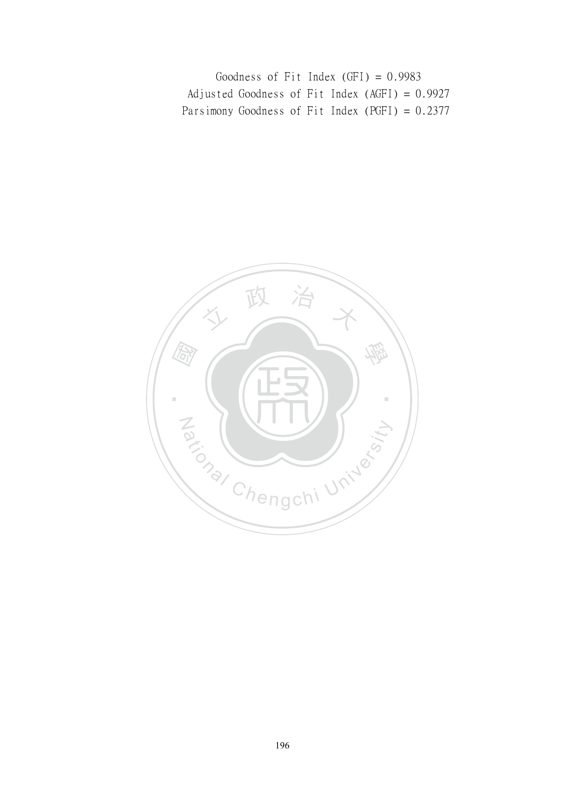Goodness of Fit Index (GFI) = 0.9983 Adjusted Goodness of Fit Index (AGFI) = 0.9927 Parsimony Goodness of Fit Index (PGFI) = 0.2377

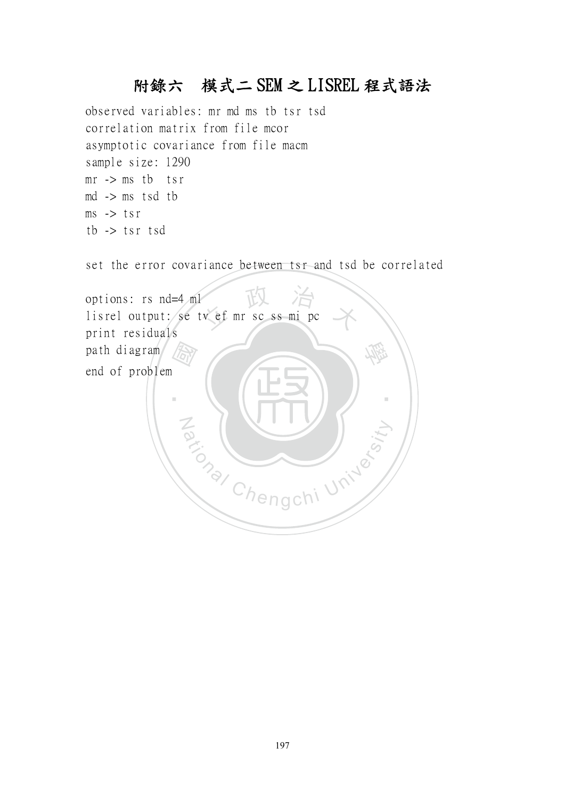# 附錄六 模式二 SEM 之 LISREL 程式語法

observed variables: mr md ms tb tsr tsd correlation matrix from file mcor asymptotic covariance from file macm sample size: 1290  $mr \rightarrow ms$  tb tsr md -> ms tsd tb  $ms$  -> tsr tb -> tsr tsd

set the error covariance between tsr and tsd be correlated

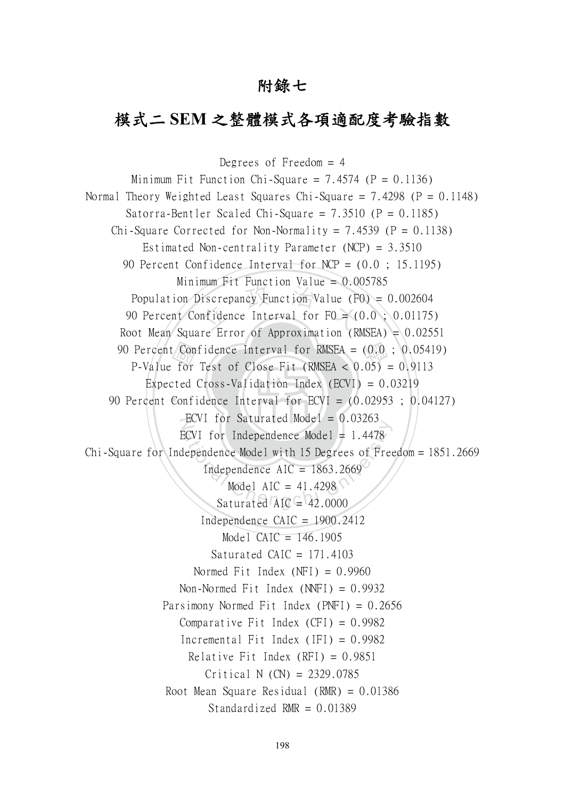# 附錄七

# 模式二 **SEM** 之整體模式各項適配度考驗指數

‧confor<br>for<br>Confi iscrepancy Function Value (Figure 11 and 12 and 13 and 13 and 13 and 14 and 14 and 14 and 15 and 16 and 16 and 16 and 16 and 16 and 16 and 16 and 16 and 17 and 18 and 18 and 18 and 18 and 18 and 18 and 18 and 18 and 18 an 90 Percent Confidence Interval for RMSEA =  $(0.0; 0.05419)$ <br>P Value for Test of Close Eit (PMSEA > 0.05) = 0.0113 90 Percent Confidence Interval for  $ECVI = (0.02953; 0.04127)$ ECVI for Saturated Model =  $0.03263$ ECVI for Independence Model = 1.4478<br>lependence Model with 15 Degrees of Free<br>Independence AIC = 1863.2669<br>Model AIC = 41.4298<br>Saturated AIC = 42.0000 Degrees of Freedom  $= 4$ Minimum Fit Function Chi-Square =  $7.4574$  (P = 0.1136) Normal Theory Weighted Least Squares Chi-Square =  $7.4298$  (P = 0.1148) Satorra-Bentler Scaled Chi-Square =  $7.3510$  (P = 0.1185) Chi-Square Corrected for Non-Normality =  $7.4539$  (P = 0.1138) Estimated Non-centrality Parameter (NCP) = 3.3510 90 Percent Confidence Interval for NCP = (0.0 ; 15.1195) Minimum Fit Function Value =  $0.005785$ Population Discrepancy Function Value (F0) = 0.002604 90 Percent Confidence Interval for  $F0 = (0.0 ; 0.01175)$ Root Mean Square Error of Approximation (RMSEA) =  $0.02551$ P-Value for Test of Close Fit (RMSEA  $< 0.05$ ) = 0.9113 Expected Cross-Validation Index  $(ECVI) = 0.03219$ ECVI for Independence Model =  $1.4478$ Chi-Square for Independence Model with 15 Degrees of Freedom = 1851.2669 Independence  $AIC = 1863.2669$ Model AIC =  $41.4298$ Saturated  $AIC = 42,0000$ Independence  $CAIC = 1900.2412$ Model CAIC =  $146.1905$ Saturated CAIC =  $171.4103$ Normed Fit Index  $(NFI) = 0.9960$ Non-Normed Fit Index (NNFI) = 0.9932 Parsimony Normed Fit Index (PNFI) = 0.2656 Comparative Fit Index  $(CFI) = 0.9982$ Incremental Fit Index (IFI) =  $0.9982$ Relative Fit Index  $(RFI) = 0.9851$ Critical N (CN) = 2329.0785 Root Mean Square Residual (RMR) = 0.01386 Standardized RMR  $= 0.01389$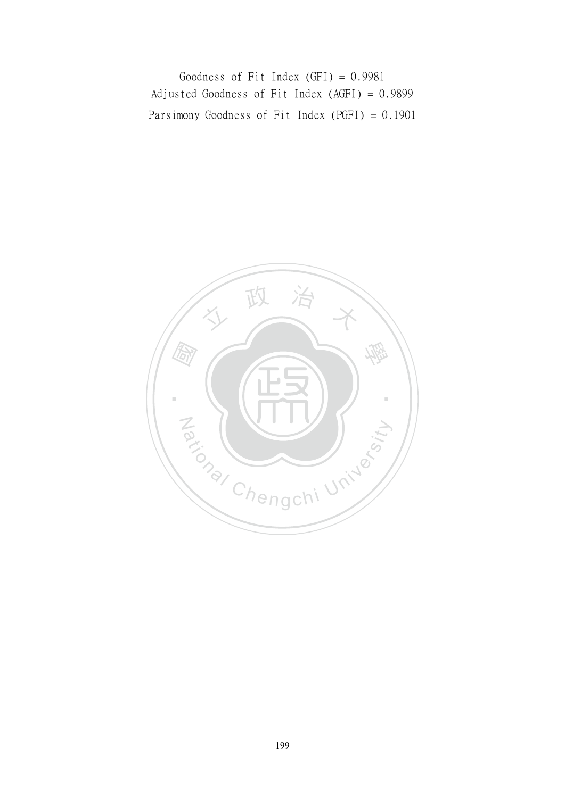Goodness of Fit Index (GFI) = 0.9981 Adjusted Goodness of Fit Index (AGFI) = 0.9899 Parsimony Goodness of Fit Index (PGFI) = 0.1901

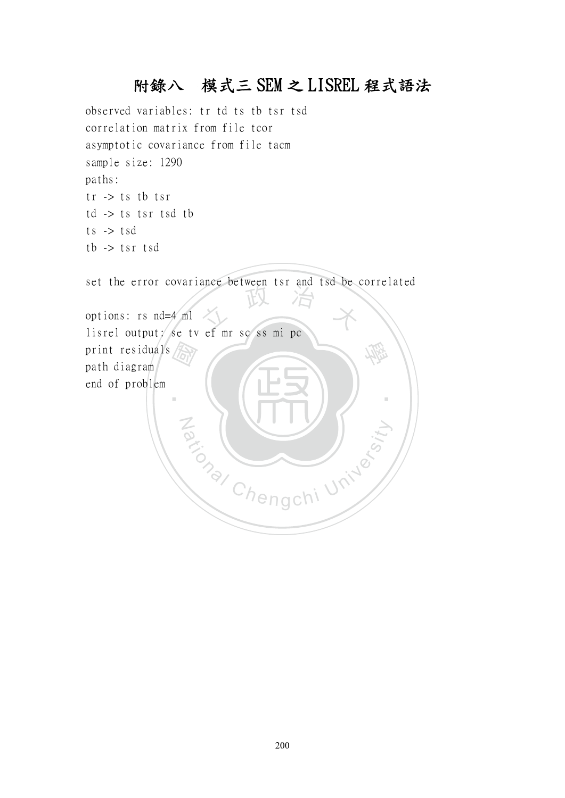# 附錄八 模式三 SEM 之 LISREL 程式語法

observed variables: tr td ts tb tsr tsd correlation matrix from file tcor asymptotic covariance from file tacm sample size: 1290 paths: tr -> ts tb tsr td -> ts tsr tsd tb ts -> tsd tb -> tsr tsd

set the error covariance between tsr and tsd be correlated

 國 文 政 治 大 學 ‧ Za (NIV) options: rs nd=4 ml lisrel output: se tv ef mr sc ss mi pc print residuals path diagram end of problem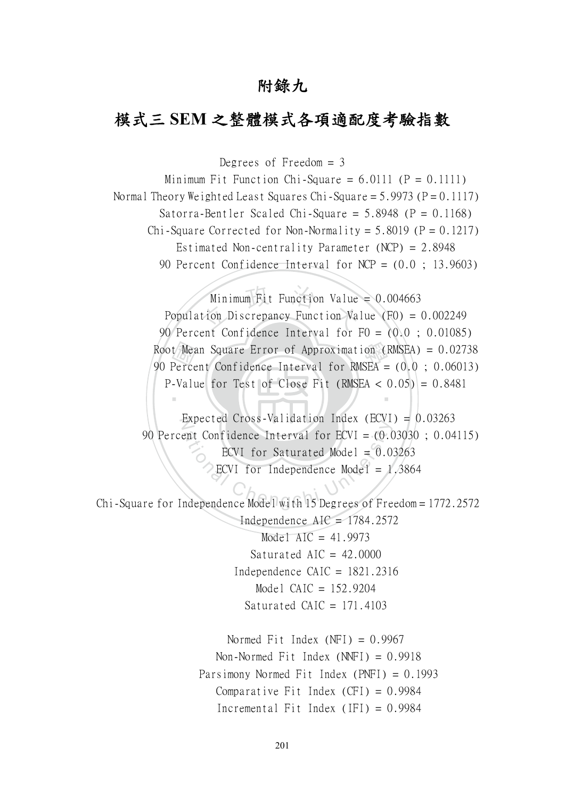# 附錄九

# 模式三 **SEM** 之整體模式各項適配度考驗指數

Degrees of Freedom  $=$  3

Minimum Fit Function Chi-Square =  $6.0111$  (P =  $0.1111$ ) Normal Theory Weighted Least Squares Chi-Square =  $5.9973$  (P =  $0.1117$ ) Satorra-Bentler Scaled Chi-Square =  $5.8948$  (P =  $0.1168$ ) Chi-Square Corrected for Non-Normality =  $5.8019$  (P = 0.1217) Estimated Non-centrality Parameter (NCP) = 2.8948 90 Percent Confidence Interval for NCP = (0.0 ; 13.9603)

Root Mean Square Error of Approximation (RMSEA) = 0.02738<br>90 Percent Confidence Interval for RMSEA = (0.0 ; 0.06013)<br>P-Value for Test of Close Fit (RMSEA < 0.05) = 0.8481 Minimum Fit Function Value<br>tion Discrepancy Function Va ‧ Minimum Fit Function Value =  $0.004663$  Population Discrepancy Function Value (F0) = 0.002249 90 Percent Confidence Interval for F0 = (0.0 ; 0.01085) 90 Percent Confidence Interval for RMSEA = (0.0 ; 0.06013) P-Value for Test of Close Fit (RMSEA  $< 0.05$ ) = 0.8481

Expected Cross-Validation Index (ECVI) =  $0.03263$ 90 Percent Confidence Interval for ECVI =  $(0.03030; 0.04115)$ <br>
ECVI for Saturated Model = 0.03263<br>
ECVI for Independence Model = 1,3864<br>
Chi-Square for Independence Model with 15 Degrees of Freedom = 1772.2572 90 Percent Confidence Interval for ECVI = (0.03030 ; 0.04115) ECVI for Saturated Model =  $0.03263$ ECVI for Independence Model =  $1.3864$ 

Independence  $AIC = 1784.2572$ Model AIC =  $41.9973$ Saturated AIC =  $42.0000$ Independence  $CAIC = 1821.2316$  Model CAIC = 152.9204 Saturated CAIC =  $171.4103$ 

> Normed Fit Index  $(NFI) = 0.9967$ Non-Normed Fit Index  $(NNFI) = 0.9918$  Parsimony Normed Fit Index (PNFI) = 0.1993 Comparative Fit Index  $(CFI) = 0.9984$ Incremental Fit Index (IFI) =  $0.9984$